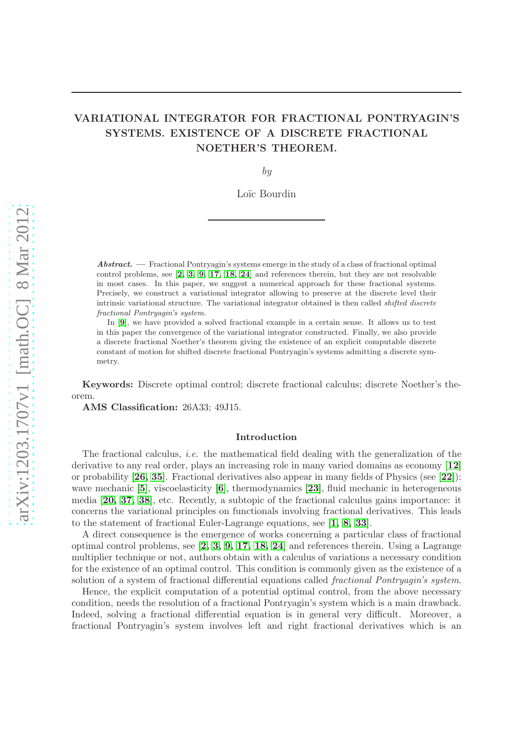# VARIATIONAL INTEGRATOR FOR FRACTIONAL PONTRYAGIN'S SYSTEMS. EXISTENCE OF A DISCRETE FRACTIONAL NOETHER'S THEOREM.

by

Loïc Bourdin

Abstract. — Fractional Pontryagin's systems emerge in the study of a class of fractional optimal control problems, see [[2,](#page-25-0) [3,](#page-25-1) [9,](#page-25-2) [17,](#page-25-3) [18,](#page-25-4) [24](#page-26-0)] and references therein, but they are not resolvable in most cases. In this paper, we suggest a numerical approach for these fractional systems. Precisely, we construct a variational integrator allowing to preserve at the discrete level their intrinsic variational structure. The variational integrator obtained is then called *shifted discrete* fractional Pontryagin's system.

In [[9](#page-25-2)], we have provided a solved fractional example in a certain sense. It allows us to test in this paper the convergence of the variational integrator constructed. Finally, we also provide a discrete fractional Noether's theorem giving the existence of an explicit computable discrete constant of motion for shifted discrete fractional Pontryagin's systems admitting a discrete symmetry.

Keywords: Discrete optimal control; discrete fractional calculus; discrete Noether's theorem.

AMS Classification: 26A33; 49J15.

### Introduction

The fractional calculus, *i.e.* the mathematical field dealing with the generalization of the derivative to any real order, plays an increasing role in many varied domains as economy [[12](#page-25-5)] or probability [[26,](#page-26-1) [35](#page-26-2)]. Fractional derivatives also appear in many fields of Physics (see [[22](#page-26-3)]): wave mechanic  $[5]$  $[5]$  $[5]$ , viscoelasticity  $[6]$  $[6]$  $[6]$ , thermodynamics  $[23]$  $[23]$  $[23]$ , fluid mechanic in heterogeneous media [[20,](#page-25-8) [37,](#page-26-5) [38](#page-26-6)], etc. Recently, a subtopic of the fractional calculus gains importance: it concerns the variational principles on functionals involving fractional derivatives. This leads to the statement of fractional Euler-Lagrange equations, see [[1,](#page-25-9) [8,](#page-25-10) [33](#page-26-7)].

A direct consequence is the emergence of works concerning a particular class of fractional optimal control problems, see [[2,](#page-25-0) [3,](#page-25-1) [9,](#page-25-2) [17,](#page-25-3) [18,](#page-25-4) [24](#page-26-0)] and references therein. Using a Lagrange multiplier technique or not, authors obtain with a calculus of variations a necessary condition for the existence of an optimal control. This condition is commonly given as the existence of a solution of a system of fractional differential equations called fractional Pontryagin's system.

Hence, the explicit computation of a potential optimal control, from the above necessary condition, needs the resolution of a fractional Pontryagin's system which is a main drawback. Indeed, solving a fractional differential equation is in general very difficult. Moreover, a fractional Pontryagin's system involves left and right fractional derivatives which is an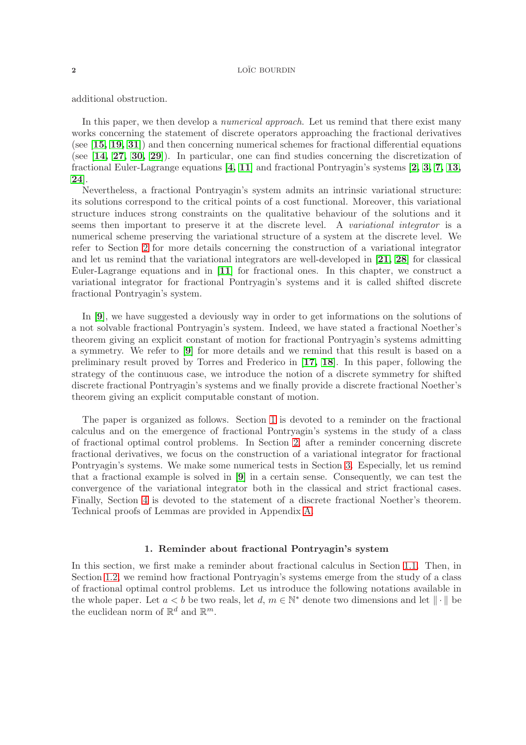additional obstruction.

In this paper, we then develop a *numerical approach*. Let us remind that there exist many works concerning the statement of discrete operators approaching the fractional derivatives (see [[15,](#page-25-11) [19,](#page-25-12) [31](#page-26-8)]) and then concerning numerical schemes for fractional differential equations (see [[14,](#page-25-13) [27,](#page-26-9) [30,](#page-26-10) [29](#page-26-11)]). In particular, one can find studies concerning the discretization of fractional Euler-Lagrange equations [[4,](#page-25-14) [11](#page-25-15)] and fractional Pontryagin's systems [[2,](#page-25-0) [3,](#page-25-1) [7,](#page-25-16) [13,](#page-25-17) [24](#page-26-0)].

Nevertheless, a fractional Pontryagin's system admits an intrinsic variational structure: its solutions correspond to the critical points of a cost functional. Moreover, this variational structure induces strong constraints on the qualitative behaviour of the solutions and it seems then important to preserve it at the discrete level. A variational integrator is a numerical scheme preserving the variational structure of a system at the discrete level. We refer to Section [2](#page-5-0) for more details concerning the construction of a variational integrator and let us remind that the variational integrators are well-developed in [[21,](#page-26-12) [28](#page-26-13)] for classical Euler-Lagrange equations and in [[11](#page-25-15)] for fractional ones. In this chapter, we construct a variational integrator for fractional Pontryagin's systems and it is called shifted discrete fractional Pontryagin's system.

In [[9](#page-25-2)], we have suggested a deviously way in order to get informations on the solutions of a not solvable fractional Pontryagin's system. Indeed, we have stated a fractional Noether's theorem giving an explicit constant of motion for fractional Pontryagin's systems admitting a symmetry. We refer to [[9](#page-25-2)] for more details and we remind that this result is based on a preliminary result proved by Torres and Frederico in [[17,](#page-25-3) [18](#page-25-4)]. In this paper, following the strategy of the continuous case, we introduce the notion of a discrete symmetry for shifted discrete fractional Pontryagin's systems and we finally provide a discrete fractional Noether's theorem giving an explicit computable constant of motion.

The paper is organized as follows. Section [1](#page-1-0) is devoted to a reminder on the fractional calculus and on the emergence of fractional Pontryagin's systems in the study of a class of fractional optimal control problems. In Section [2,](#page-5-0) after a reminder concerning discrete fractional derivatives, we focus on the construction of a variational integrator for fractional Pontryagin's systems. We make some numerical tests in Section [3.](#page-12-0) Especially, let us remind that a fractional example is solved in [[9](#page-25-2)] in a certain sense. Consequently, we can test the convergence of the variational integrator both in the classical and strict fractional cases. Finally, Section [4](#page-15-0) is devoted to the statement of a discrete fractional Noether's theorem. Technical proofs of Lemmas are provided in Appendix [A.](#page-19-0)

### 1. Reminder about fractional Pontryagin's system

<span id="page-1-1"></span><span id="page-1-0"></span>In this section, we first make a reminder about fractional calculus in Section [1.1.](#page-1-1) Then, in Section [1.2,](#page-2-0) we remind how fractional Pontryagin's systems emerge from the study of a class of fractional optimal control problems. Let us introduce the following notations available in the whole paper. Let  $a < b$  be two reals, let  $d, m \in \mathbb{N}^*$  denote two dimensions and let  $\|\cdot\|$  be the euclidean norm of  $\mathbb{R}^d$  and  $\mathbb{R}^m$ .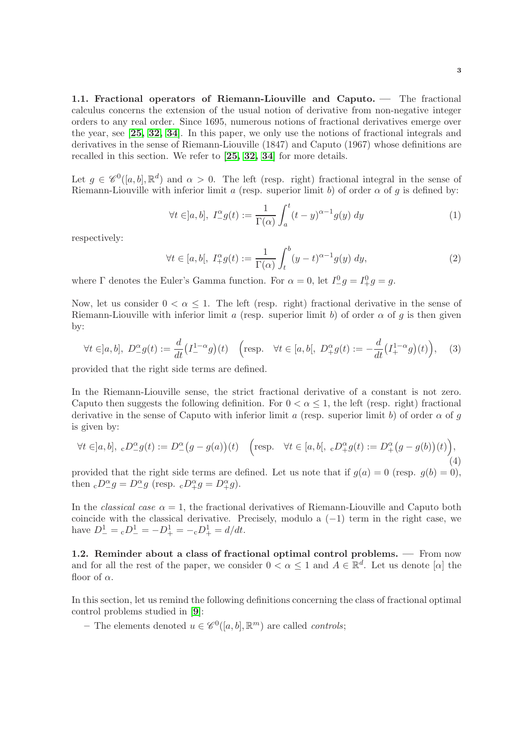1.1. Fractional operators of Riemann-Liouville and Caputo. — The fractional calculus concerns the extension of the usual notion of derivative from non-negative integer orders to any real order. Since 1695, numerous notions of fractional derivatives emerge over the year, see [[25,](#page-26-14) [32,](#page-26-15) [34](#page-26-16)]. In this paper, we only use the notions of fractional integrals and derivatives in the sense of Riemann-Liouville (1847) and Caputo (1967) whose definitions are recalled in this section. We refer to [[25,](#page-26-14) [32,](#page-26-15) [34](#page-26-16)] for more details.

Let  $g \in \mathscr{C}^0([a, b], \mathbb{R}^d)$  and  $\alpha > 0$ . The left (resp. right) fractional integral in the sense of Riemann-Liouville with inferior limit a (resp. superior limit b) of order  $\alpha$  of q is defined by:

$$
\forall t \in ]a, b], \ I_{-}^{\alpha} g(t) := \frac{1}{\Gamma(\alpha)} \int_{a}^{t} (t - y)^{\alpha - 1} g(y) \ dy \tag{1}
$$

respectively:

$$
\forall t \in [a, b[, \ I_+^{\alpha} g(t) := \frac{1}{\Gamma(\alpha)} \int_t^b (y - t)^{\alpha - 1} g(y) \ dy,
$$
\n
$$
(2)
$$

where  $\Gamma$  denotes the Euler's Gamma function. For  $\alpha = 0$ , let  $I_{-}^{0}g = I_{+}^{0}g = g$ .

Now, let us consider  $0 < \alpha \leq 1$ . The left (resp. right) fractional derivative in the sense of Riemann-Liouville with inferior limit a (resp. superior limit b) of order  $\alpha$  of q is then given by:

$$
\forall t \in ]a, b], \ D^{\alpha}_{-}g(t) := \frac{d}{dt} \left( I^{1-\alpha}_{-}g \right)(t) \quad \left( \text{resp.} \quad \forall t \in [a, b[, \ D^{\alpha}_{+}g(t) := -\frac{d}{dt} \left( I^{1-\alpha}_{+}g \right)(t) \right), \tag{3}
$$

provided that the right side terms are defined.

In the Riemann-Liouville sense, the strict fractional derivative of a constant is not zero. Caputo then suggests the following definition. For  $0 < \alpha \leq 1$ , the left (resp. right) fractional derivative in the sense of Caputo with inferior limit a (resp. superior limit b) of order  $\alpha$  of q is given by:

<span id="page-2-1"></span>
$$
\forall t \in ]a, b], \, \, _cD^{\alpha}_{-}g(t) := D^{\alpha}_{-}(g - g(a))(t) \quad \left(\text{resp.} \quad \forall t \in [a, b[, \, \, _cD^{\alpha}_{+}g(t) := D^{\alpha}_{+}(g - g(b))(t)\right),\tag{4}
$$

provided that the right side terms are defined. Let us note that if  $g(a) = 0$  (resp.  $g(b) = 0$ ), then  $\Delta_{-}D_{-}^{\alpha}g = D_{-}^{\alpha}g$  (resp.  $\Delta_{+}D_{+}^{\alpha}g = D_{+}^{\alpha}g$ ).

In the *classical case*  $\alpha = 1$ , the fractional derivatives of Riemann-Liouville and Caputo both coincide with the classical derivative. Precisely, modulo a  $(-1)$  term in the right case, we have  $D^1_-= {}_cD^1_-= -D^1_+= - {}_cD^1_+= d/dt.$ 

<span id="page-2-0"></span>1.2. Reminder about a class of fractional optimal control problems. — From now and for all the rest of the paper, we consider  $0 < \alpha \leq 1$  and  $A \in \mathbb{R}^d$ . Let us denote  $[\alpha]$  the floor of  $\alpha$ .

In this section, let us remind the following definitions concerning the class of fractional optimal control problems studied in [[9](#page-25-2)]:

– The elements denoted  $u \in \mathscr{C}^0([a, b], \mathbb{R}^m)$  are called *controls*;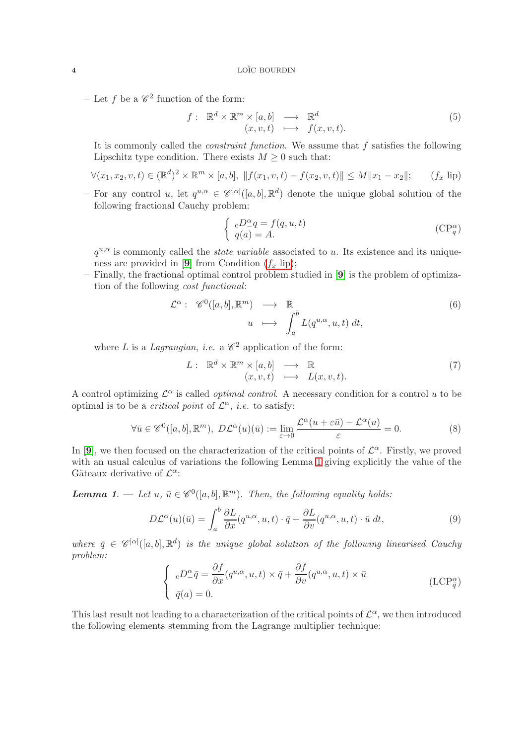- Let f be a  $\mathscr{C}^2$  function of the form:

$$
f: \mathbb{R}^d \times \mathbb{R}^m \times [a, b] \longrightarrow \mathbb{R}^d
$$
  

$$
(x, v, t) \longmapsto f(x, v, t).
$$
 (5)

It is commonly called the *constraint function*. We assume that  $f$  satisfies the following Lipschitz type condition. There exists  $M \geq 0$  such that:

$$
\forall (x_1, x_2, v, t) \in (\mathbb{R}^d)^2 \times \mathbb{R}^m \times [a, b], \ \|f(x_1, v, t) - f(x_2, v, t)\| \le M \|x_1 - x_2\|; \qquad (f_x \text{ lip})
$$

– For any control u, let  $q^{u,\alpha} \in \mathscr{C}^{[\alpha]}([a,b],\mathbb{R}^d)$  denote the unique global solution of the following fractional Cauchy problem:

<span id="page-3-0"></span>
$$
\begin{cases}\n cD^{\alpha}_{-}q = f(q, u, t) \\
 q(a) = A.\n\end{cases} \tag{CP_q^{\alpha}}
$$

 $q^{u,\alpha}$  is commonly called the *state variable* associated to u. Its existence and its unique-ness are provided in [[9](#page-25-2)] from Condition  $(f_x \text{ lip})$ ;

– Finally, the fractional optimal control problem studied in [[9](#page-25-2)] is the problem of optimization of the following cost functional:

$$
\mathcal{L}^{\alpha}: \mathscr{C}^{0}([a,b], \mathbb{R}^{m}) \longrightarrow \mathbb{R}
$$
  

$$
u \longmapsto \int_{a}^{b} L(q^{u,\alpha}, u, t) dt,
$$
 (6)

where L is a Lagrangian, i.e. a  $\mathscr{C}^2$  application of the form:

$$
L: \mathbb{R}^d \times \mathbb{R}^m \times [a, b] \longrightarrow \mathbb{R} (x, v, t) \longmapsto L(x, v, t).
$$
 (7)

A control optimizing  $\mathcal{L}^{\alpha}$  is called *optimal control*. A necessary condition for a control u to be optimal is to be a *critical point* of  $\mathcal{L}^{\alpha}$ , *i.e.* to satisfy:

$$
\forall \bar{u} \in \mathscr{C}^0([a, b], \mathbb{R}^m), \ D\mathcal{L}^{\alpha}(u)(\bar{u}) := \lim_{\varepsilon \to 0} \frac{\mathcal{L}^{\alpha}(u + \varepsilon \bar{u}) - \mathcal{L}^{\alpha}(u)}{\varepsilon} = 0.
$$
 (8)

In [[9](#page-25-2)], we then focused on the characterization of the critical points of  $\mathcal{L}^{\alpha}$ . Firstly, we proved with an usual calculus of variations the following Lemma 1 giving explicitly the value of the Gâteaux derivative of  $\mathcal{L}^{\alpha}$ :

**Lemma 1.** — Let  $u, \bar{u} \in \mathscr{C}^0([a, b], \mathbb{R}^m)$ . Then, the following equality holds:

$$
D\mathcal{L}^{\alpha}(u)(\bar{u}) = \int_{a}^{b} \frac{\partial L}{\partial x}(q^{u,\alpha}, u, t) \cdot \bar{q} + \frac{\partial L}{\partial v}(q^{u,\alpha}, u, t) \cdot \bar{u} dt,
$$
\n(9)

where  $\bar{q} \in \mathscr{C}^{[\alpha]}([a, b], \mathbb{R}^d)$  is the unique global solution of the following linearised Cauchy problem:

$$
\begin{cases}\n cD^{\alpha}_{-}\bar{q} = \frac{\partial f}{\partial x}(q^{u,\alpha}, u, t) \times \bar{q} + \frac{\partial f}{\partial v}(q^{u,\alpha}, u, t) \times \bar{u} \\
 \bar{q}(a) = 0.\n\end{cases}
$$
\n(LCP<sub>\bar{q}</sub><sup>\alpha</sup>)

This last result not leading to a characterization of the critical points of  $\mathcal{L}^{\alpha}$ , we then introduced the following elements stemming from the Lagrange multiplier technique: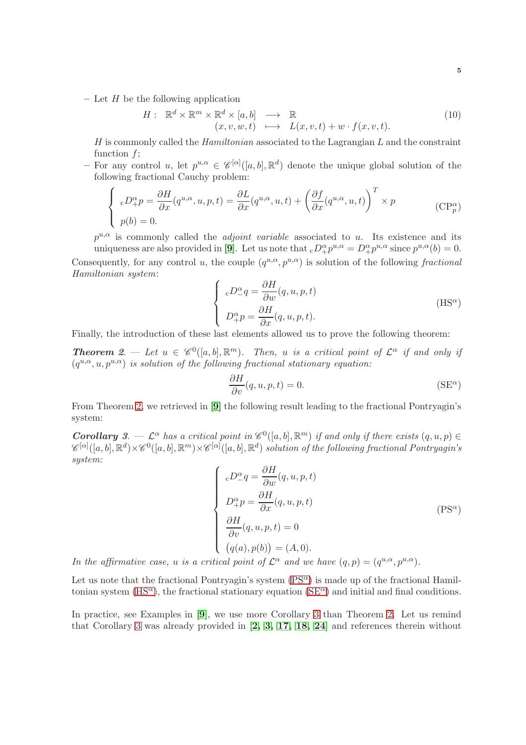– Let  $H$  be the following application

$$
H: \mathbb{R}^d \times \mathbb{R}^m \times \mathbb{R}^d \times [a, b] \longrightarrow \mathbb{R}
$$
  
\n
$$
(x, v, w, t) \longmapsto L(x, v, t) + w \cdot f(x, v, t).
$$
\n(10)

 $H$  is commonly called the *Hamiltonian* associated to the Lagrangian  $L$  and the constraint function f;

- For any control u, let  $p^{u,\alpha} \in \mathscr{C}^{[\alpha]}([a,b],\mathbb{R}^d)$  denote the unique global solution of the following fractional Cauchy problem:

$$
\begin{cases}\n\ _{c}D_{+}^{\alpha}p = \frac{\partial H}{\partial x}(q^{u,\alpha}, u, p, t) = \frac{\partial L}{\partial x}(q^{u,\alpha}, u, t) + \left(\frac{\partial f}{\partial x}(q^{u,\alpha}, u, t)\right)^{T} \times p \\
p(b) = 0.\n\end{cases} \tag{CPp\alpha}
$$

 $p^{u,\alpha}$  is commonly called the *adjoint variable* associated to u. Its existence and its uniqueness are also provided in [[9](#page-25-2)]. Let us note that  ${}_cD^{\alpha}_+p^{u,\alpha}=D^{\alpha}_+p^{u,\alpha}$  since  $p^{u,\alpha}(b)=0$ . Consequently, for any control u, the couple  $(q^{u,\alpha}, p^{u,\alpha})$  is solution of the following fractional Hamiltonian system:

$$
\begin{cases}\n\epsilon D^{\alpha}_{-}q = \frac{\partial H}{\partial w}(q, u, p, t) \\
D^{\alpha}_{+}p = \frac{\partial H}{\partial x}(q, u, p, t).\n\end{cases}
$$
\n(HS<sup>\alpha</sup>)

Finally, the introduction of these last elements allowed us to prove the following theorem:

**Theorem 2.** — Let  $u \in \mathscr{C}^0([a, b], \mathbb{R}^m)$ . Then, u is a critical point of  $\mathcal{L}^{\alpha}$  if and only if  $(q^{u,\alpha}, u, p^{u,\alpha})$  is solution of the following fractional stationary equation:

<span id="page-4-2"></span><span id="page-4-1"></span>
$$
\frac{\partial H}{\partial v}(q, u, p, t) = 0.
$$
 (SE <sup>$\alpha$</sup> )

From Theorem 2, we retrieved in [[9](#page-25-2)] the following result leading to the fractional Pontryagin's system:

**Corollary** 3.  $\mathcal{L}^{\alpha}$  has a critical point in  $\mathscr{C}^0([a, b], \mathbb{R}^m)$  if and only if there exists  $(q, u, p) \in \mathbb{R}^m$ .  $\mathscr{C}^{[\alpha]}([a,b],{\mathbb R}^d)\times\mathscr{C}^0([a,b],{\mathbb R}^m)\times\mathscr{C}^{[\alpha]}([a,b],{\mathbb R}^d)$  solution of the following fractional Pontryagin's system:

<span id="page-4-0"></span>
$$
\begin{cases}\ncD_{-}^{\alpha}q = \frac{\partial H}{\partial w}(q, u, p, t) \\
D_{+}^{\alpha}p = \frac{\partial H}{\partial x}(q, u, p, t) \\
\frac{\partial H}{\partial v}(q, u, p, t) = 0 \\
(q(a), p(b)) = (A, 0).\n\end{cases}
$$
\n(PS<sup>\alpha</sup>)

In the affirmative case, u is a critical point of  $\mathcal{L}^{\alpha}$  and we have  $(q, p) = (q^{u,\alpha}, p^{u,\alpha})$ .

Let us note that the fractional Pontryagin's system  $(PS^{\alpha})$  is made up of the fractional Hamil-tonian system [\(HS](#page-4-1)<sup> $\alpha$ </sup>), the fractional stationary equation [\(SE](#page-4-2) $\alpha$ ) and initial and final conditions.

In practice, see Examples in [[9](#page-25-2)], we use more Corollary 3 than Theorem 2. Let us remind that Corollary 3 was already provided in  $[2, 3, 17, 18, 24]$  $[2, 3, 17, 18, 24]$  $[2, 3, 17, 18, 24]$  $[2, 3, 17, 18, 24]$  $[2, 3, 17, 18, 24]$  $[2, 3, 17, 18, 24]$  $[2, 3, 17, 18, 24]$  and references therein without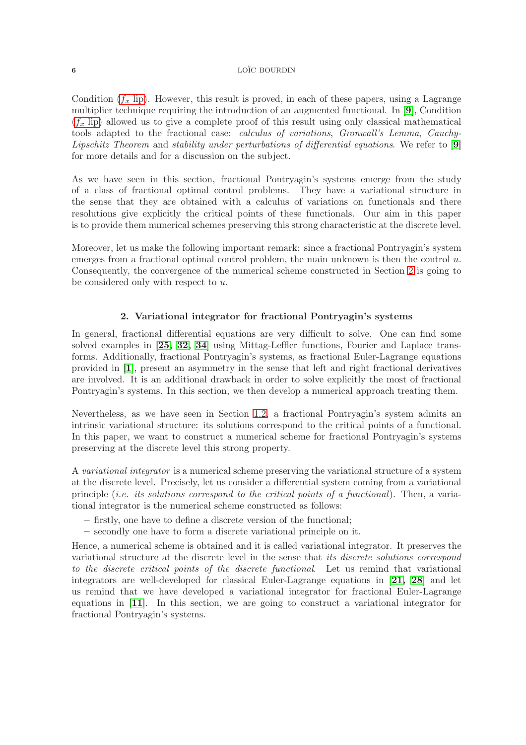Condition  $(f_x \text{ lip})$ . However, this result is proved, in each of these papers, using a Lagrange multiplier technique requiring the introduction of an augmented functional. In [[9](#page-25-2)], Condition  $(f_x$  [lip\)](#page-3-0) allowed us to give a complete proof of this result using only classical mathematical tools adapted to the fractional case: calculus of variations, Gronwall's Lemma, Cauchy-Lipschitz Theorem and stability under perturbations of differential equations. We refer to [[9](#page-25-2)] for more details and for a discussion on the subject.

As we have seen in this section, fractional Pontryagin's systems emerge from the study of a class of fractional optimal control problems. They have a variational structure in the sense that they are obtained with a calculus of variations on functionals and there resolutions give explicitly the critical points of these functionals. Our aim in this paper is to provide them numerical schemes preserving this strong characteristic at the discrete level.

Moreover, let us make the following important remark: since a fractional Pontryagin's system emerges from a fractional optimal control problem, the main unknown is then the control  $u$ . Consequently, the convergence of the numerical scheme constructed in Section [2](#page-5-0) is going to be considered only with respect to u.

### 2. Variational integrator for fractional Pontryagin's systems

<span id="page-5-0"></span>In general, fractional differential equations are very difficult to solve. One can find some solved examples in [[25,](#page-26-14) [32,](#page-26-15) [34](#page-26-16)] using Mittag-Leffler functions, Fourier and Laplace transforms. Additionally, fractional Pontryagin's systems, as fractional Euler-Lagrange equations provided in [[1](#page-25-9)], present an asymmetry in the sense that left and right fractional derivatives are involved. It is an additional drawback in order to solve explicitly the most of fractional Pontryagin's systems. In this section, we then develop a numerical approach treating them.

Nevertheless, as we have seen in Section [1.2,](#page-2-0) a fractional Pontryagin's system admits an intrinsic variational structure: its solutions correspond to the critical points of a functional. In this paper, we want to construct a numerical scheme for fractional Pontryagin's systems preserving at the discrete level this strong property.

A variational integrator is a numerical scheme preserving the variational structure of a system at the discrete level. Precisely, let us consider a differential system coming from a variational principle (i.e. its solutions correspond to the critical points of a functional). Then, a variational integrator is the numerical scheme constructed as follows:

- firstly, one have to define a discrete version of the functional;
- secondly one have to form a discrete variational principle on it.

Hence, a numerical scheme is obtained and it is called variational integrator. It preserves the variational structure at the discrete level in the sense that its discrete solutions correspond to the discrete critical points of the discrete functional. Let us remind that variational integrators are well-developed for classical Euler-Lagrange equations in [[21,](#page-26-12) [28](#page-26-13)] and let us remind that we have developed a variational integrator for fractional Euler-Lagrange equations in [[11](#page-25-15)]. In this section, we are going to construct a variational integrator for fractional Pontryagin's systems.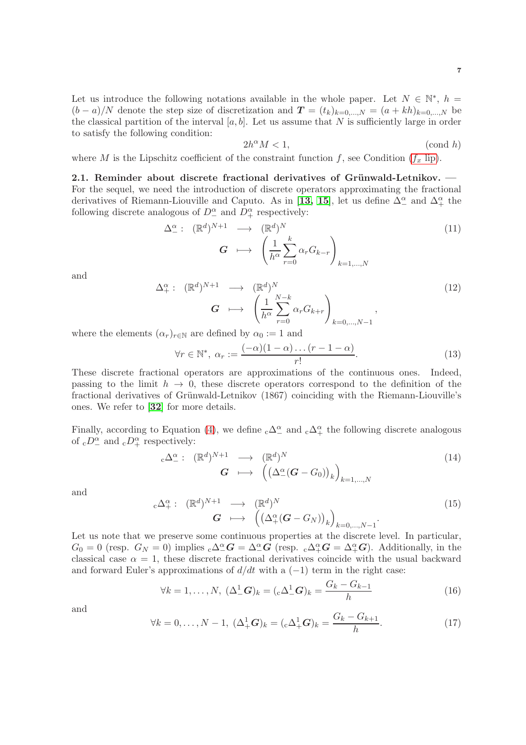Let us introduce the following notations available in the whole paper. Let  $N \in \mathbb{N}^*$ ,  $h =$  $(b-a)/N$  denote the step size of discretization and  $T = (t_k)_{k=0,\dots,N} = (a + kh)_{k=0,\dots,N}$  be the classical partition of the interval  $[a, b]$ . Let us assume that N is sufficiently large in order to satisfy the following condition:

<span id="page-6-0"></span>2h <sup>α</sup>M < 1, (cond h)

where M is the Lipschitz coefficient of the constraint function  $f$ , see Condition  $(f_x \text{ lip})$ .

2.1. Reminder about discrete fractional derivatives of Grünwald-Letnikov. -For the sequel, we need the introduction of discrete operators approximating the fractional derivatives of Riemann-Liouville and Caputo. As in [[13,](#page-25-17) [15](#page-25-11)], let us define  $\Delta_{-}^{\alpha}$  and  $\Delta_{+}^{\alpha}$  the following discrete analogous of  $D^{\alpha}_{-}$  and  $D^{\alpha}_{+}$  respectively:

$$
\Delta^{\alpha}_{-}: (\mathbb{R}^{d})^{N+1} \longrightarrow (\mathbb{R}^{d})^{N}
$$
\n
$$
G \longmapsto \left(\frac{1}{h^{\alpha}} \sum_{r=0}^{k} \alpha_{r} G_{k-r}\right)_{k=1,\dots,N}
$$
\n(11)

and

$$
\Delta_{+}^{\alpha}: (\mathbb{R}^{d})^{N+1} \longrightarrow (\mathbb{R}^{d})^{N}
$$
\n
$$
G \longmapsto \left(\frac{1}{h^{\alpha}} \sum_{r=0}^{N-k} \alpha_{r} G_{k+r}\right)_{k=0,\dots,N-1},
$$
\n
$$
(\alpha_{r})_{r \in \mathbb{N}} \text{ are defined by } \alpha_{0} := 1 \text{ and}
$$
\n
$$
(12)
$$

where the elements  $(\alpha_r)_{r \in \mathbb{N}}$ 

$$
\forall r \in \mathbb{N}^*, \ \alpha_r := \frac{(-\alpha)(1-\alpha)\dots(r-1-\alpha)}{r!}.\tag{13}
$$

These discrete fractional operators are approximations of the continuous ones. Indeed, passing to the limit  $h \to 0$ , these discrete operators correspond to the definition of the fractional derivatives of Grünwald-Letnikov (1867) coinciding with the Riemann-Liouville's ones. We refer to [[32](#page-26-15)] for more details.

Finally, according to Equation [\(4\)](#page-2-1), we define  ${}_{c}\Delta^{\alpha}_{-}$  and  ${}_{c}\Delta^{\alpha}_{+}$  the following discrete analogous of  ${}_{c}D_{-}^{\alpha}$  and  ${}_{c}D_{+}^{\alpha}$  respectively:

$$
{}_{c}\Delta_{-}^{\alpha}: (\mathbb{R}^{d})^{N+1} \longrightarrow (\mathbb{R}^{d})^{N}
$$
  
\n
$$
G \longmapsto ((\Delta_{-}^{\alpha}(G - G_{0}))_{k})_{k=1,...,N}
$$
\n(14)

and

$$
{}_{c}\Delta_{+}^{\alpha} : (\mathbb{R}^{d})^{N+1} \longrightarrow (\mathbb{R}^{d})^{N}
$$
  
\n
$$
G \longmapsto ((\Delta_{+}^{\alpha}(G - G_{N}))_{k})_{k=0,...,N-1}.
$$
\n(15)

Let us note that we preserve some continuous properties at the discrete level. In particular,  $G_0 = 0$  (resp.  $G_N = 0$ ) implies  ${}_{c}\Delta^{\alpha}_{-}G = \Delta^{\alpha}_{-}G$  (resp.  ${}_{c}\Delta^{\alpha}_{+}G = \Delta^{\alpha}_{+}G$ ). Additionally, in the classical case  $\alpha = 1$ , these discrete fractional derivatives coincide with the usual backward and forward Euler's approximations of  $d/dt$  with a  $(-1)$  term in the right case:

$$
\forall k = 1, \dots, N, \ (\Delta^1_- \mathbf{G})_k = ({}_{c}\Delta^1_- \mathbf{G})_k = \frac{G_k - G_{k-1}}{h} \tag{16}
$$

and

$$
\forall k = 0, ..., N - 1, \ (\Delta_+^1 \mathbf{G})_k = ({}_{c}\Delta_+^1 \mathbf{G})_k = \frac{G_k - G_{k+1}}{h}.\tag{17}
$$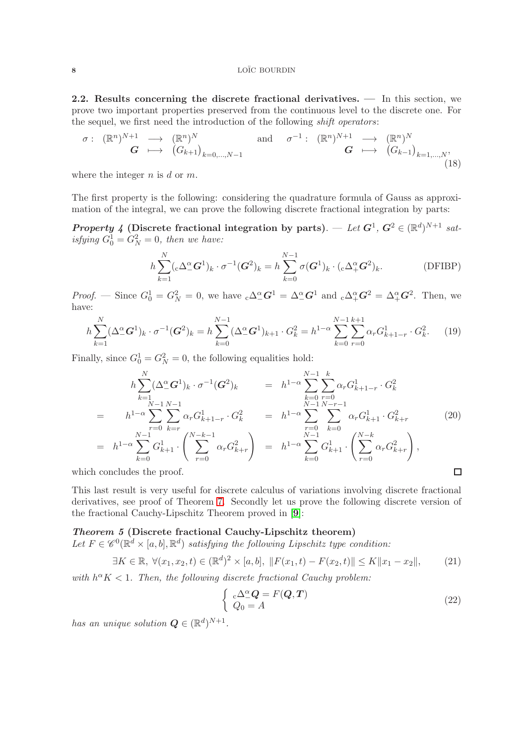2.2. Results concerning the discrete fractional derivatives. — In this section, we prove two important properties preserved from the continuous level to the discrete one. For the sequel, we first need the introduction of the following *shift operators*:

$$
\sigma: (\mathbb{R}^n)^{N+1} \longrightarrow (\mathbb{R}^n)^N
$$
  
\n
$$
G \longmapsto (G_{k+1})_{k=0,\dots,N-1}
$$
 and 
$$
\sigma^{-1}: (\mathbb{R}^n)^{N+1} \longrightarrow (\mathbb{R}^n)^N
$$
  
\n
$$
G \longmapsto (G_{k-1})_{k=1,\dots,N},
$$
  
\n(18)

where the integer  $n$  is  $d$  or  $m$ .

The first property is the following: considering the quadrature formula of Gauss as approximation of the integral, we can prove the following discrete fractional integration by parts:

**Property 4** (Discrete fractional integration by parts). — Let  $G^1$ ,  $G^2 \in (\mathbb{R}^d)^{N+1}$  satisfying  $G_0^1 = G_N^2 = 0$ , then we have:

<span id="page-7-1"></span>
$$
h\sum_{k=1}^{N} (\mathbf{C} \Delta^{\alpha}_{-} \mathbf{G}^{1})_{k} \cdot \sigma^{-1} (\mathbf{G}^{2})_{k} = h \sum_{k=0}^{N-1} \sigma(\mathbf{G}^{1})_{k} \cdot (\mathbf{C} \Delta^{\alpha}_{+} \mathbf{G}^{2})_{k}.
$$
 (DFIBP)

*Proof.* — Since  $G_0^1 = G_N^2 = 0$ , we have  ${}_{c}\Delta^{\alpha}_{-}G^1 = \Delta^{\alpha}_{-}G^1$  and  ${}_{c}\Delta^{\alpha}_{+}G^2 = \Delta^{\alpha}_{+}G^2$ . Then, we have:

$$
h\sum_{k=1}^{N}(\Delta_{-}^{\alpha}\mathbf{G}^{1})_{k}\cdot\sigma^{-1}(\mathbf{G}^{2})_{k}=h\sum_{k=0}^{N-1}(\Delta_{-}^{\alpha}\mathbf{G}^{1})_{k+1}\cdot G_{k}^{2}=h^{1-\alpha}\sum_{k=0}^{N-1}\sum_{r=0}^{k+1}\alpha_{r}G_{k+1-r}^{1}\cdot G_{k}^{2}.
$$
 (19)

Finally, since  $G_0^1 = G_N^2 = 0$ , the following equalities hold:

$$
h \sum_{k=1}^{N} (\Delta^{\alpha}_{-} G^{1})_{k} \cdot \sigma^{-1} (G^{2})_{k} = h^{1-\alpha} \sum_{k=0}^{N-1} \sum_{r=0}^{k} \alpha_{r} G^{1}_{k+1-r} \cdot G^{2}_{k}
$$
  
\n
$$
= h^{1-\alpha} \sum_{r=0}^{N-1} \sum_{k=r}^{N-1} \alpha_{r} G^{1}_{k+1-r} \cdot G^{2}_{k} = h^{1-\alpha} \sum_{r=0}^{N-1} \sum_{k=0}^{N-r-1} \alpha_{r} G^{1}_{k+1} \cdot G^{2}_{k+r}
$$
  
\n
$$
= h^{1-\alpha} \sum_{k=0}^{N-1} G^{1}_{k+1} \cdot \left( \sum_{r=0}^{N-k-1} \alpha_{r} G^{2}_{k+r} \right) = h^{1-\alpha} \sum_{k=0}^{N-1} G^{1}_{k+1} \cdot \left( \sum_{r=0}^{N-k} \alpha_{r} G^{2}_{k+r} \right),
$$
  
\n
$$
= \alpha \text{oncludes the proof.}
$$

which concludes the proof.

This last result is very useful for discrete calculus of variations involving discrete fractional derivatives, see proof of Theorem 7. Secondly let us prove the following discrete version of the fractional Cauchy-Lipschitz Theorem proved in [[9](#page-25-2)]:

### Theorem 5 (Discrete fractional Cauchy-Lipschitz theorem)

Let  $F \in \mathscr{C}^0(\mathbb{R}^d \times [a, b], \mathbb{R}^d)$  satisfying the following Lipschitz type condition:

$$
\exists K \in \mathbb{R}, \ \forall (x_1, x_2, t) \in (\mathbb{R}^d)^2 \times [a, b], \ \|F(x_1, t) - F(x_2, t)\| \le K \|x_1 - x_2\|,\tag{21}
$$

with  $h^{\alpha} K < 1$ . Then, the following discrete fractional Cauchy problem:

<span id="page-7-0"></span>
$$
\begin{cases}\n\mathrm{c}\Delta^{\alpha}_{-}Q = F(Q,T) \\
Q_0 = A\n\end{cases} \tag{22}
$$

has an unique solution  $\mathbf{Q} \in (\mathbb{R}^d)^{N+1}$ .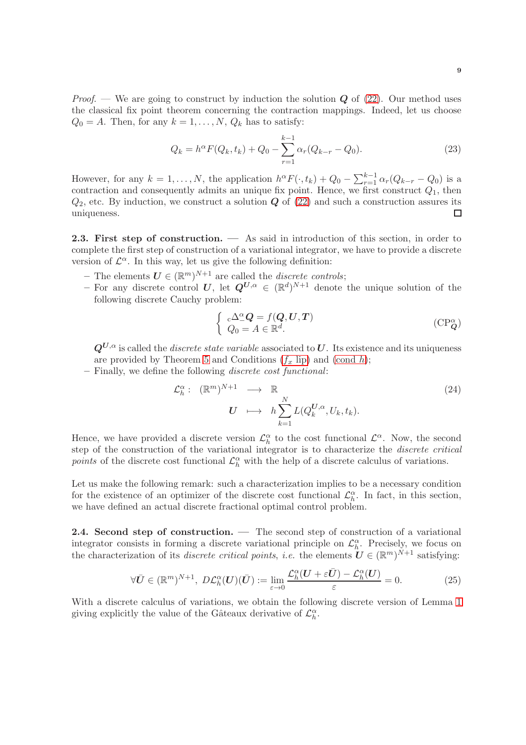$$
Q_k = h^{\alpha} F(Q_k, t_k) + Q_0 - \sum_{r=1}^{k-1} \alpha_r (Q_{k-r} - Q_0).
$$
 (23)

However, for any  $k = 1, ..., N$ , the application  $h^{\alpha} F(\cdot, t_k) + Q_0 - \sum_{r=1}^{k-1} \alpha_r (Q_{k-r} - Q_0)$  is a contraction and consequently admits an unique fix point. Hence, we first construct  $Q_1$ , then  $Q_2$ , etc. By induction, we construct a solution  $Q$  of  $(22)$  and such a construction assures its uniqueness.  $\Box$ 

<span id="page-8-0"></span>2.3. First step of construction. — As said in introduction of this section, in order to complete the first step of construction of a variational integrator, we have to provide a discrete version of  $\mathcal{L}^{\alpha}$ . In this way, let us give the following definition:

- The elements  $\mathbf{U} \in (\mathbb{R}^m)^{N+1}$  are called the *discrete controls*;
- For any discrete control U, let  $Q^{U,\alpha} \in (\mathbb{R}^d)^{N+1}$  denote the unique solution of the following discrete Cauchy problem:

<span id="page-8-2"></span>
$$
\begin{cases}\n\mathbf{C} \Delta^{\alpha}_{-} \mathbf{Q} = f(\mathbf{Q}, \mathbf{U}, \mathbf{T}) \\
Q_0 = A \in \mathbb{R}^d.\n\end{cases} \tag{CP^{\alpha}_{\mathbf{Q}}}
$$

 $Q^{U,\alpha}$  is called the *discrete state variable* associated to U. Its existence and its uniqueness are provided by Theorem 5 and Conditions  $(f_x \text{ lip})$  and  $(\text{cond } h)$ ;

– Finally, we define the following discrete cost functional:

$$
\mathcal{L}_h^{\alpha}: (\mathbb{R}^m)^{N+1} \longrightarrow \mathbb{R}
$$
  

$$
U \longrightarrow h \sum_{k=1}^N L(Q_k^{U,\alpha}, U_k, t_k).
$$
 (24)

Hence, we have provided a discrete version  $\mathcal{L}_h^{\alpha}$  to the cost functional  $\mathcal{L}^{\alpha}$ . Now, the second step of the construction of the variational integrator is to characterize the discrete critical points of the discrete cost functional  $\mathcal{L}_h^{\alpha}$  with the help of a discrete calculus of variations.

Let us make the following remark: such a characterization implies to be a necessary condition for the existence of an optimizer of the discrete cost functional  $\mathcal{L}_h^{\alpha}$ . In fact, in this section, we have defined an actual discrete fractional optimal control problem.

<span id="page-8-1"></span>2.4. Second step of construction. — The second step of construction of a variational integrator consists in forming a discrete variational principle on  $\mathcal{L}_h^{\alpha}$ . Precisely, we focus on the characterization of its *discrete critical points*, *i.e.* the elements  $\boldsymbol{U} \in (\mathbb{R}^m)^{N+1}$  satisfying:

$$
\forall \bar{U} \in (\mathbb{R}^m)^{N+1}, \ D\mathcal{L}_h^{\alpha}(U)(\bar{U}) := \lim_{\varepsilon \to 0} \frac{\mathcal{L}_h^{\alpha}(U + \varepsilon \bar{U}) - \mathcal{L}_h^{\alpha}(U)}{\varepsilon} = 0.
$$
 (25)

With a discrete calculus of variations, we obtain the following discrete version of Lemma 1 giving explicitly the value of the Gâteaux derivative of  $\mathcal{L}_h^{\alpha}$ .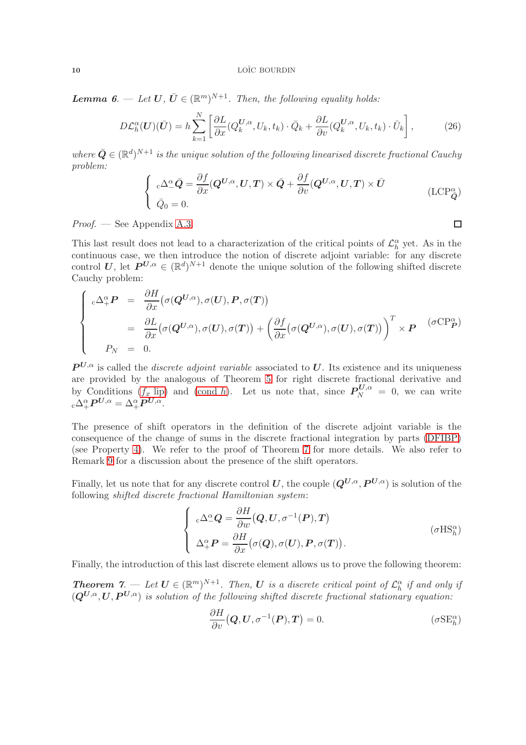**Lemma 6.** — Let  $U, \overline{U} \in (\mathbb{R}^m)^{N+1}$ . Then, the following equality holds:

$$
D\mathcal{L}_h^{\alpha}(\boldsymbol{U})(\bar{\boldsymbol{U}}) = h \sum_{k=1}^N \left[ \frac{\partial L}{\partial x} (Q_k^{\boldsymbol{U},\alpha}, U_k, t_k) \cdot \bar{Q}_k + \frac{\partial L}{\partial v} (Q_k^{\boldsymbol{U},\alpha}, U_k, t_k) \cdot \bar{U}_k \right],\tag{26}
$$

where  $\bar{Q} \in (\mathbb{R}^d)^{N+1}$  is the unique solution of the following linearised discrete fractional Cauchy problem:

$$
\begin{cases}\n\mathbf{C} \Delta^{\alpha}_{-} \bar{\mathbf{Q}} = \frac{\partial f}{\partial x} (\mathbf{Q}^{U,\alpha}, U, T) \times \bar{\mathbf{Q}} + \frac{\partial f}{\partial v} (\mathbf{Q}^{U,\alpha}, U, T) \times \bar{U} \\
\bar{Q}_0 = 0.\n\end{cases} \tag{LCP}_{\bar{\mathbf{Q}}}^{\alpha}
$$

<span id="page-9-0"></span> $\Box$ 

Proof. — See Appendix [A.3.](#page-22-0)

This last result does not lead to a characterization of the critical points of  $\mathcal{L}_h^{\alpha}$  yet. As in the continuous case, we then introduce the notion of discrete adjoint variable: for any discrete control U, let  $P^{U,\alpha} \in (\mathbb{R}^d)^{N+1}$  denote the unique solution of the following shifted discrete Cauchy problem:

$$
\begin{cases}\n\begin{aligned}\n\mathbf{C} \Delta_{+}^{\alpha} \mathbf{P} &= \frac{\partial H}{\partial x} \big( \sigma(\mathbf{Q}^{U,\alpha}), \sigma(U), \mathbf{P}, \sigma(T) \big) \\
&= \frac{\partial L}{\partial x} \big( \sigma(\mathbf{Q}^{U,\alpha}), \sigma(U), \sigma(T) \big) + \big( \frac{\partial f}{\partial x} \big( \sigma(\mathbf{Q}^{U,\alpha}), \sigma(U), \sigma(T) \big) \big)^T \times \mathbf{P} & (\sigma \mathbf{C} \mathbf{P}_{\mathbf{P}}^{\alpha}) \\
P_N &= 0.\n\end{aligned}\n\end{cases}
$$

 $P^{U,\alpha}$  is called the *discrete adjoint variable* associated to U. Its existence and its uniqueness are provided by the analogous of Theorem 5 for right discrete fractional derivative and by Conditions  $(f_x \text{lip})$  and [\(cond](#page-6-0) h). Let us note that, since  $P_N^{U,\alpha} = 0$ , we can write  $_{\mathrm{c}}\Delta _{+}^{\alpha }\boldsymbol{P}^{\boldsymbol{U},\alpha }=\Delta _{+}^{\alpha }\boldsymbol{P}^{\boldsymbol{U},\alpha }.$ 

The presence of shift operators in the definition of the discrete adjoint variable is the consequence of the change of sums in the discrete fractional integration by parts [\(DFIBP\)](#page-7-1) (see Property 4). We refer to the proof of Theorem 7 for more details. We also refer to Remark 9 for a discussion about the presence of the shift operators.

Finally, let us note that for any discrete control U, the couple  $(Q^{U,\alpha}, P^{U,\alpha})$  is solution of the following shifted discrete fractional Hamiltonian system:

$$
\begin{cases}\n\mathbf{C} \Delta^{\alpha}_{-} \mathbf{Q} = \frac{\partial H}{\partial w} (\mathbf{Q}, \mathbf{U}, \sigma^{-1}(\mathbf{P}), \mathbf{T}) \\
\Delta^{\alpha}_{+} \mathbf{P} = \frac{\partial H}{\partial x} (\sigma(\mathbf{Q}), \sigma(\mathbf{U}), \mathbf{P}, \sigma(\mathbf{T})).\n\end{cases} \tag{ \sigma \mathbf{H} \mathbf{S}_{h}^{\alpha}}
$$

Finally, the introduction of this last discrete element allows us to prove the following theorem:

**Theorem 7.** — Let  $U \in (\mathbb{R}^m)^{N+1}$ . Then, U is a discrete critical point of  $\mathcal{L}_h^{\alpha}$  if and only if  $(Q^{U,\alpha}, U, P^{U,\alpha})$  is solution of the following shifted discrete fractional stationary equation:

<span id="page-9-2"></span><span id="page-9-1"></span>
$$
\frac{\partial H}{\partial v}(\boldsymbol{Q}, \boldsymbol{U}, \sigma^{-1}(\boldsymbol{P}), \boldsymbol{T}) = 0. \qquad (\sigma \text{SE}_{h}^{\alpha})
$$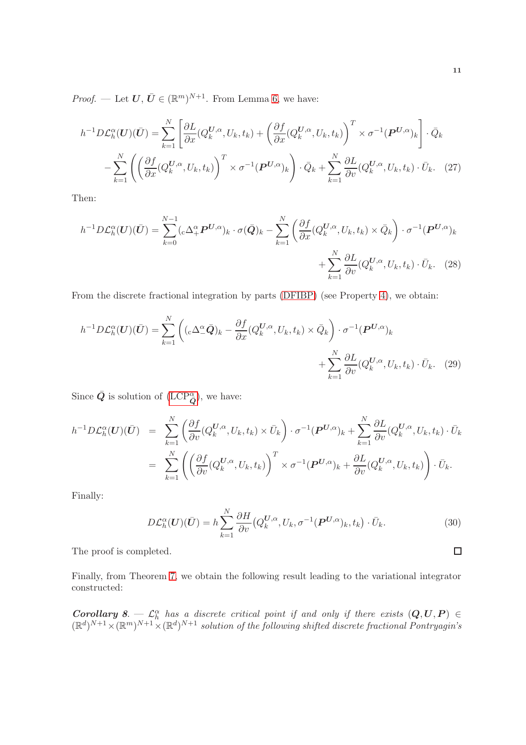*Proof.* — Let  $U, \overline{U} \in (\mathbb{R}^m)^{N+1}$ . From Lemma 6, we have:

$$
h^{-1}D\mathcal{L}_h^{\alpha}(U)(\bar{U}) = \sum_{k=1}^N \left[ \frac{\partial L}{\partial x} (Q_k^{U,\alpha}, U_k, t_k) + \left( \frac{\partial f}{\partial x} (Q_k^{U,\alpha}, U_k, t_k) \right)^T \times \sigma^{-1} (\boldsymbol{P}^{U,\alpha})_k \right] \cdot \bar{Q}_k - \sum_{k=1}^N \left( \left( \frac{\partial f}{\partial x} (Q_k^{U,\alpha}, U_k, t_k) \right)^T \times \sigma^{-1} (\boldsymbol{P}^{U,\alpha})_k \right) \cdot \bar{Q}_k + \sum_{k=1}^N \frac{\partial L}{\partial v} (Q_k^{U,\alpha}, U_k, t_k) \cdot \bar{U}_k.
$$
 (27)

Then:

$$
h^{-1}D\mathcal{L}_h^{\alpha}(U)(\bar{U}) = \sum_{k=0}^{N-1} ({}_{c}\Delta_{+}^{\alpha}P^{U,\alpha})_{k} \cdot \sigma(\bar{Q})_{k} - \sum_{k=1}^{N} \left( \frac{\partial f}{\partial x}(Q_k^{U,\alpha}, U_k, t_k) \times \bar{Q}_k \right) \cdot \sigma^{-1}(P^{U,\alpha})_{k} + \sum_{k=1}^{N} \frac{\partial L}{\partial v}(Q_k^{U,\alpha}, U_k, t_k) \cdot \bar{U}_k.
$$
 (28)

From the discrete fractional integration by parts [\(DFIBP\)](#page-7-1) (see Property 4), we obtain:

$$
h^{-1}D\mathcal{L}_h^{\alpha}(U)(\bar{U}) = \sum_{k=1}^N \left( ({}_{c}\Delta_-^{\alpha}\bar{Q})_k - \frac{\partial f}{\partial x}(Q_k^{U,\alpha}, U_k, t_k) \times \bar{Q}_k \right) \cdot \sigma^{-1}(P^{U,\alpha})_k + \sum_{k=1}^N \frac{\partial L}{\partial v}(Q_k^{U,\alpha}, U_k, t_k) \cdot \bar{U}_k. \tag{29}
$$

Since  $\bar{Q}$  is solution of  $(\text{LCP}^{\alpha}_{\bar{Q}})$ , we have:

$$
h^{-1}D\mathcal{L}_h^{\alpha}(U)(\bar{U}) = \sum_{k=1}^N \left( \frac{\partial f}{\partial v}(Q_k^{U,\alpha}, U_k, t_k) \times \bar{U}_k \right) \cdot \sigma^{-1}(\boldsymbol{P}^{U,\alpha})_k + \sum_{k=1}^N \frac{\partial L}{\partial v}(Q_k^{U,\alpha}, U_k, t_k) \cdot \bar{U}_k
$$
  

$$
= \sum_{k=1}^N \left( \left( \frac{\partial f}{\partial v}(Q_k^{U,\alpha}, U_k, t_k) \right)^T \times \sigma^{-1}(\boldsymbol{P}^{U,\alpha})_k + \frac{\partial L}{\partial v}(Q_k^{U,\alpha}, U_k, t_k) \right) \cdot \bar{U}_k.
$$

Finally:

$$
D\mathcal{L}_h^{\alpha}(U)(\bar{U}) = h \sum_{k=1}^{N} \frac{\partial H}{\partial v} \big(Q_k^{U,\alpha}, U_k, \sigma^{-1}(\boldsymbol{P}^{U,\alpha})_k, t_k \big) \cdot \bar{U}_k.
$$
 (30)

The proof is completed.

Finally, from Theorem 7, we obtain the following result leading to the variational integrator constructed:

**Corollary 8.**  $\mathcal{L}_h^{\alpha}$  has a discrete critical point if and only if there exists  $(Q, U, P) \in$  $(\mathbb{R}^d)^{N+1} \times (\mathbb{R}^m)^{N+1} \times (\mathbb{R}^d)^{N+1}$  solution of the following shifted discrete fractional Pontryagin's

$$
\overline{\Box}
$$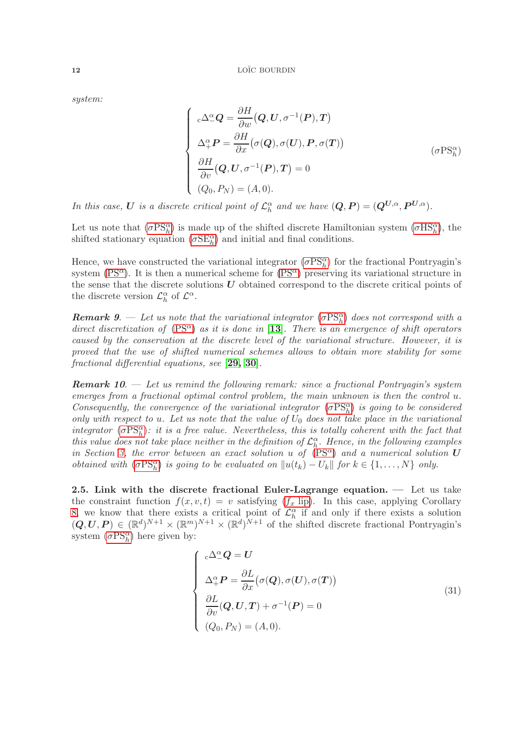system:

<span id="page-11-0"></span>
$$
\begin{cases}\n\mathbf{C} \Delta^{\alpha}_{-} \mathbf{Q} = \frac{\partial H}{\partial w} (\mathbf{Q}, \mathbf{U}, \sigma^{-1}(\mathbf{P}), \mathbf{T}) \\
\Delta^{\alpha}_{+} \mathbf{P} = \frac{\partial H}{\partial x} (\sigma(\mathbf{Q}), \sigma(\mathbf{U}), \mathbf{P}, \sigma(\mathbf{T})) \\
\frac{\partial H}{\partial v} (\mathbf{Q}, \mathbf{U}, \sigma^{-1}(\mathbf{P}), \mathbf{T}) = 0 \\
(\mathbf{Q}_{0}, P_{N}) = (A, 0).\n\end{cases} \tag{σPsh\alpha}
$$

In this case, U is a discrete critical point of  $\mathcal{L}_h^{\alpha}$  and we have  $(Q, P) = (Q^{U, \alpha}, P^{U, \alpha})$ .

Let us note that  $(\sigma PS<sub>h</sub><sup>\alpha</sup>)$  $(\sigma PS<sub>h</sub><sup>\alpha</sup>)$  $(\sigma PS<sub>h</sub><sup>\alpha</sup>)$  is made up of the shifted discrete Hamiltonian system  $(\sigma HS<sub>h</sub><sup>\alpha</sup>)$  $(\sigma HS<sub>h</sub><sup>\alpha</sup>)$  $(\sigma HS<sub>h</sub><sup>\alpha</sup>)$ , the shifted stationary equation  $(\sigma SE_h^{\alpha})$  $(\sigma SE_h^{\alpha})$  $(\sigma SE_h^{\alpha})$  and initial and final conditions.

Hence, we have constructed the variational integrator  $(\sigma PS<sub>h</sub><sup>\alpha</sup>)$  $(\sigma PS<sub>h</sub><sup>\alpha</sup>)$  $(\sigma PS<sub>h</sub><sup>\alpha</sup>)$  for the fractional Pontryagin's system [\(PS](#page-4-0)<sup> $\alpha$ </sup>). It is then a numerical scheme for (PS $\alpha$ ) preserving its variational structure in the sense that the discrete solutions  $U$  obtained correspond to the discrete critical points of the discrete version  $\mathcal{L}_h^{\alpha}$  of  $\mathcal{L}^{\alpha}$ .

**Remark 9.**  $\rightarrow$  Let us note that the variational integrator  $(\sigma PS_{h}^{\alpha})$  $(\sigma PS_{h}^{\alpha})$  $(\sigma PS_{h}^{\alpha})$  does not correspond with a direct discretization of  $(PS^{\alpha})$  $(PS^{\alpha})$  as it is done in [[13](#page-25-17)]. There is an emergence of shift operators caused by the conservation at the discrete level of the variational structure. However, it is proved that the use of shifted numerical schemes allows to obtain more stability for some fractional differential equations, see [[29,](#page-26-11) [30](#page-26-10)].

**Remark 10.** — Let us remind the following remark: since a fractional Pontryagin's system emerges from a fractional optimal control problem, the main unknown is then the control u. Consequently, the convergence of the variational integrator  $(\sigma PS<sub>h</sub><sup>\alpha</sup>)$  $(\sigma PS<sub>h</sub><sup>\alpha</sup>)$  $(\sigma PS<sub>h</sub><sup>\alpha</sup>)$  is going to be considered only with respect to u. Let us note that the value of  $U_0$  does not take place in the variational integrator  $(\sigma PS<sub>h</sub><sup>\alpha</sup>)$  $(\sigma PS<sub>h</sub><sup>\alpha</sup>)$  $(\sigma PS<sub>h</sub><sup>\alpha</sup>)$ : it is a free value. Nevertheless, this is totally coherent with the fact that this value does not take place neither in the definition of  $\mathcal{L}_h^{\alpha}$ . Hence, in the following examples in Section [3,](#page-12-0) the error between an exact solution u of  $(PS^{\alpha})$  $(PS^{\alpha})$  and a numerical solution U *obtained with*  $(\sigma PS_{h}^{\alpha})$  $(\sigma PS_{h}^{\alpha})$  $(\sigma PS_{h}^{\alpha})$  *is going to be evaluated on*  $||u(t_{k}) - U_{k}||$  *for*  $k \in \{1, ..., N\}$  *only.* 

2.5. Link with the discrete fractional Euler-Lagrange equation.  $\qquad$  Let us take the constraint function  $f(x, v, t) = v$  satisfying  $(f_x$  [lip\)](#page-3-0). In this case, applying Corollary 8, we know that there exists a critical point of  $\mathcal{L}_h^{\alpha}$  if and only if there exists a solution  $(Q, U, P) \in (\mathbb{R}^d)^{N+1} \times (\mathbb{R}^m)^{N+1} \times (\mathbb{R}^d)^{N+1}$  of the shifted discrete fractional Pontryagin's system  $(\sigma PS<sub>h</sub><sup>\alpha</sup>)$  $(\sigma PS<sub>h</sub><sup>\alpha</sup>)$  $(\sigma PS<sub>h</sub><sup>\alpha</sup>)$  here given by:

$$
\begin{cases}\n\mathbf{c} \Delta^{\alpha}_{-} \mathbf{Q} = \mathbf{U} \\
\Delta^{\alpha}_{+} \mathbf{P} = \frac{\partial L}{\partial x} (\sigma(\mathbf{Q}), \sigma(\mathbf{U}), \sigma(\mathbf{T})) \\
\frac{\partial L}{\partial v} (\mathbf{Q}, \mathbf{U}, \mathbf{T}) + \sigma^{-1}(\mathbf{P}) = 0 \\
(Q_0, P_N) = (A, 0).\n\end{cases}
$$
\n(31)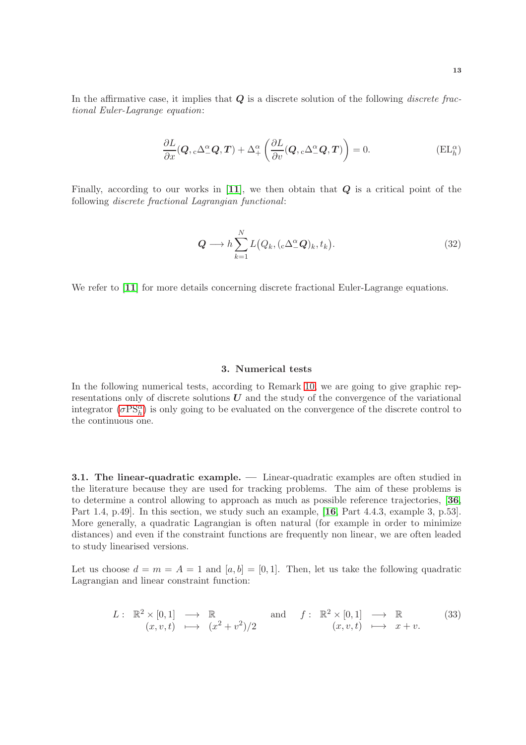In the affirmative case, it implies that  $Q$  is a discrete solution of the following *discrete frac*tional Euler-Lagrange equation:

$$
\frac{\partial L}{\partial x}(\boldsymbol{Q}, c\Delta^{\alpha}_{-}\boldsymbol{Q}, \boldsymbol{T}) + \Delta^{\alpha}_{+} \left( \frac{\partial L}{\partial v}(\boldsymbol{Q}, c\Delta^{\alpha}_{-}\boldsymbol{Q}, \boldsymbol{T}) \right) = 0.
$$
 (EL<sub>h</sub><sup>\alpha</sup>)

Finally, according to our works in  $[11]$  $[11]$  $[11]$ , we then obtain that  $Q$  is a critical point of the following discrete fractional Lagrangian functional:

$$
\mathbf{Q} \longrightarrow h \sum_{k=1}^{N} L(Q_k, (\mathbf{C} \Delta^{\alpha}_{-} \mathbf{Q})_k, t_k).
$$
 (32)

We refer to [[11](#page-25-15)] for more details concerning discrete fractional Euler-Lagrange equations.

### 3. Numerical tests

<span id="page-12-0"></span>In the following numerical tests, according to Remark 10, we are going to give graphic representations only of discrete solutions  $U$  and the study of the convergence of the variational integrator  $(\sigma PS<sub>h</sub><sup>\alpha</sup>)$  $(\sigma PS<sub>h</sub><sup>\alpha</sup>)$  $(\sigma PS<sub>h</sub><sup>\alpha</sup>)$  is only going to be evaluated on the convergence of the discrete control to the continuous one.

<span id="page-12-1"></span>3.1. The linear-quadratic example. — Linear-quadratic examples are often studied in the literature because they are used for tracking problems. The aim of these problems is to determine a control allowing to approach as much as possible reference trajectories, [[36](#page-26-17), Part 1.4, p.49. In this section, we study such an example, [[16](#page-25-18), Part 4.4.3, example 3, p.53]. More generally, a quadratic Lagrangian is often natural (for example in order to minimize distances) and even if the constraint functions are frequently non linear, we are often leaded to study linearised versions.

Let us choose  $d = m = A = 1$  and  $[a, b] = [0, 1]$ . Then, let us take the following quadratic Lagrangian and linear constraint function:

$$
L: \mathbb{R}^2 \times [0,1] \longrightarrow \mathbb{R} \text{ and } f: \mathbb{R}^2 \times [0,1] \longrightarrow \mathbb{R} \text{ (33)}
$$
  

$$
(x,v,t) \longmapsto (x^2+v^2)/2 \text{ (34)}
$$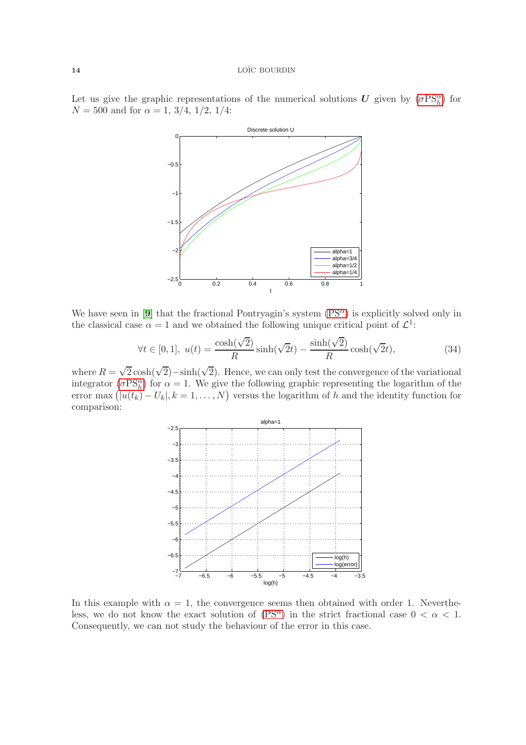Let us give the graphic representations of the numerical solutions  $\boldsymbol{U}$  given by  $(\sigma PS<sub>h</sub><sup>\alpha</sup>)$  $(\sigma PS<sub>h</sub><sup>\alpha</sup>)$  $(\sigma PS<sub>h</sub><sup>\alpha</sup>)$  for  $N = 500$  and for  $\alpha = 1, 3/4, 1/2, 1/4$ :



We have seen in [[9](#page-25-2)] that the fractional Pontryagin's system  $(PS^{\alpha})$  is explicitly solved only in the classical case  $\alpha = 1$  and we obtained the following unique critical point of  $\mathcal{L}^1$ :

$$
\forall t \in [0, 1], \ u(t) = \frac{\cosh(\sqrt{2})}{R} \sinh(\sqrt{2}t) - \frac{\sinh(\sqrt{2})}{R} \cosh(\sqrt{2}t), \tag{34}
$$

where  $R = \sqrt{2} \cosh(\sqrt{2}) - \sinh(\sqrt{2})$ . Hence, we can only test the convergence of the variational integrator ( $\sigma PS<sub>h</sub><sup>\alpha</sup>$  $\sigma PS<sub>h</sub><sup>\alpha</sup>$  $\sigma PS<sub>h</sub><sup>\alpha</sup>$ ) for  $\alpha = 1$ . We give the following graphic representing the logarithm of the error max  $(|u(t_k) - U_k|, k = 1, ..., N)$  versus the logarithm of h and the identity function for comparison:



In this example with  $\alpha = 1$ , the convergence seems then obtained with order 1. Nevertheless, we do not know the exact solution of  $(PS^{\alpha})$  in the strict fractional case  $0 < \alpha < 1$ . Consequently, we can not study the behaviour of the error in this case.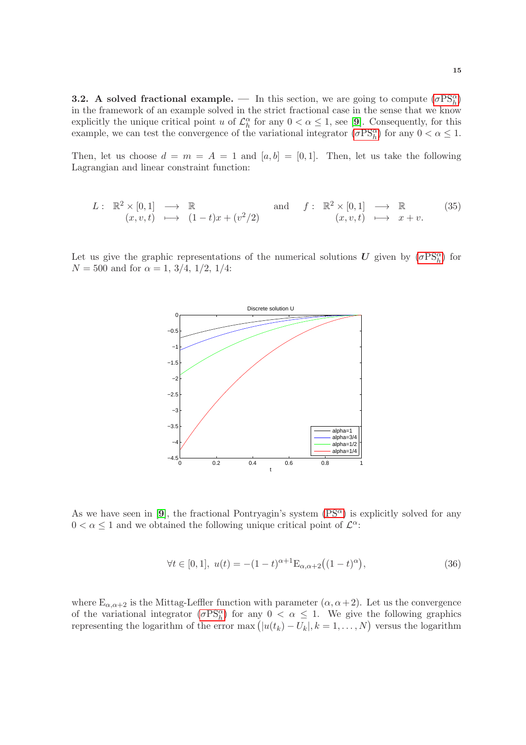<span id="page-14-0"></span>**3.2.** A solved fractional example. — In this section, we are going to compute  $(\sigma PS<sub>h</sub><sup>\alpha</sup>)$  $(\sigma PS<sub>h</sub><sup>\alpha</sup>)$  $(\sigma PS<sub>h</sub><sup>\alpha</sup>)$ in the framework of an example solved in the strict fractional case in the sense that we know explicitly the unique critical point u of  $\mathcal{L}_h^{\alpha}$  for any  $0 < \alpha \leq 1$ , see [[9](#page-25-2)]. Consequently, for this example, we can test the convergence of the variational integrator  $(\sigma PS_{h}^{\alpha})$  $(\sigma PS_{h}^{\alpha})$  $(\sigma PS_{h}^{\alpha})$  for any  $0 < \alpha \leq 1$ .

Then, let us choose  $d = m = A = 1$  and  $[a, b] = [0, 1]$ . Then, let us take the following Lagrangian and linear constraint function:

$$
L: \mathbb{R}^2 \times [0,1] \longrightarrow \mathbb{R} \quad \text{and} \quad f: \mathbb{R}^2 \times [0,1] \longrightarrow \mathbb{R} \quad (35)
$$
  
 $(x,v,t) \longmapsto (1-t)x + (v^2/2) \quad (x,v,t) \longmapsto x+v.$ 

Let us give the graphic representations of the numerical solutions  $\boldsymbol{U}$  given by  $(\sigma PS_{h}^{\alpha})$  $(\sigma PS_{h}^{\alpha})$  $(\sigma PS_{h}^{\alpha})$  for  $N = 500$  and for  $\alpha = 1, 3/4, 1/2, 1/4$ :



As we have seen in [[9](#page-25-2)], the fractional Pontryagin's system  $(PS^{\alpha})$  is explicitly solved for any  $0 < \alpha \leq 1$  and we obtained the following unique critical point of  $\mathcal{L}^{\alpha}$ :

$$
\forall t \in [0, 1], \ u(t) = -(1 - t)^{\alpha + 1} \mathcal{E}_{\alpha, \alpha + 2} \big( (1 - t)^{\alpha} \big), \tag{36}
$$

where  $E_{\alpha,\alpha+2}$  is the Mittag-Leffler function with parameter  $(\alpha,\alpha+2)$ . Let us the convergence of the variational integrator  $(\sigma PS_h^{\alpha})$  $(\sigma PS_h^{\alpha})$  $(\sigma PS_h^{\alpha})$  for any  $0 < \alpha \leq 1$ . We give the following graphics representing the logarithm of the error max  $(|u(t_k) - U_k|, k = 1, ..., N)$  versus the logarithm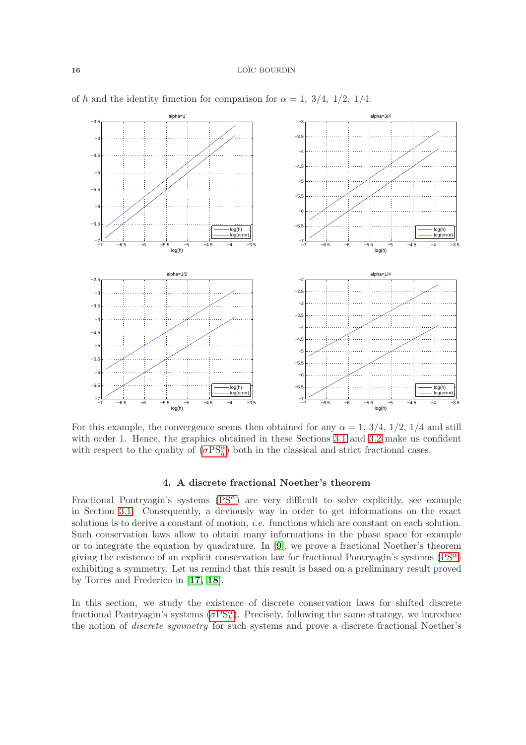

of h and the identity function for comparison for  $\alpha = 1, 3/4, 1/2, 1/4$ :

For this example, the convergence seems then obtained for any  $\alpha = 1, 3/4, 1/2, 1/4$  and still with order 1. Hence, the graphics obtained in these Sections [3.1](#page-12-1) and [3.2](#page-14-0) make us confident with respect to the quality of  $(\sigma PS<sub>h</sub><sup>\alpha</sup>)$  $(\sigma PS<sub>h</sub><sup>\alpha</sup>)$  $(\sigma PS<sub>h</sub><sup>\alpha</sup>)$  both in the classical and strict fractional cases.

### 4. A discrete fractional Noether's theorem

<span id="page-15-0"></span>Fractional Pontryagin's systems  $(PS^{\alpha})$  are very difficult to solve explicitly, see example in Section [3.1.](#page-12-1) Consequently, a deviously way in order to get informations on the exact solutions is to derive a constant of motion, *i.e.* functions which are constant on each solution. Such conservation laws allow to obtain many informations in the phase space for example or to integrate the equation by quadrature. In [[9](#page-25-2)], we prove a fractional Noether's theorem giving the existence of an explicit conservation law for fractional Pontryagin's systems  $(PS^{\alpha})$ exhibiting a symmetry. Let us remind that this result is based on a preliminary result proved by Torres and Frederico in [[17,](#page-25-3) [18](#page-25-4)].

In this section, we study the existence of discrete conservation laws for shifted discrete fractional Pontryagin's systems  $(\sigma PS<sub>h</sub><sup>\alpha</sup>)$  $(\sigma PS<sub>h</sub><sup>\alpha</sup>)$  $(\sigma PS<sub>h</sub><sup>\alpha</sup>)$ . Precisely, following the same strategy, we introduce the notion of discrete symmetry for such systems and prove a discrete fractional Noether's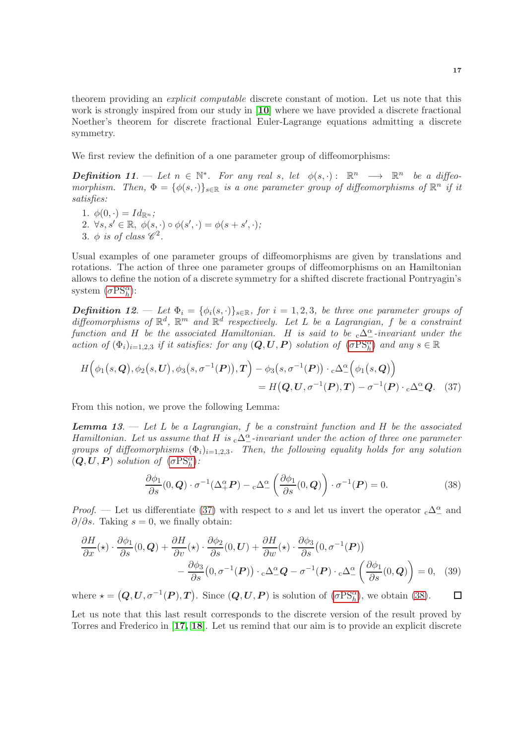theorem providing an explicit computable discrete constant of motion. Let us note that this work is strongly inspired from our study in [[10](#page-25-19)] where we have provided a discrete fractional Noether's theorem for discrete fractional Euler-Lagrange equations admitting a discrete symmetry.

We first review the definition of a one parameter group of diffeomorphisms:

**Definition 11.**  $-\text{Let } n \in \mathbb{N}^*$ . For any real s, let  $\phi(s, \cdot) : \mathbb{R}^n \longrightarrow \mathbb{R}^n$  be a diffeomorphism. Then,  $\Phi = {\phi(s, \cdot)}_{s \in \mathbb{R}}$  is a one parameter group of diffeomorphisms of  $\mathbb{R}^n$  if it satisfies:

1.  $\phi(0, \cdot) = Id_{\mathbb{R}^n}$ ; 2.  $\forall s, s' \in \mathbb{R}, \phi(s, \cdot) \circ \phi(s', \cdot) = \phi(s + s', \cdot);$ 3.  $\phi$  is of class  $\mathscr{C}^2$ .

Usual examples of one parameter groups of diffeomorphisms are given by translations and rotations. The action of three one parameter groups of diffeomorphisms on an Hamiltonian allows to define the notion of a discrete symmetry for a shifted discrete fractional Pontryagin's system  $(\sigma PS<sub>h</sub><sup>\alpha</sup>)$  $(\sigma PS<sub>h</sub><sup>\alpha</sup>)$  $(\sigma PS<sub>h</sub><sup>\alpha</sup>)$ :

**Definition 12.** — Let  $\Phi_i = {\phi_i(s, \cdot)}_{s \in \mathbb{R}}$ , for  $i = 1, 2, 3$ , be three one parameter groups of diffeomorphisms of  $\mathbb{R}^d$ ,  $\mathbb{R}^m$  and  $\mathbb{R}^d$  respectively. Let L be a Lagrangian, f be a constraint function and H be the associated Hamiltonian. H is said to be  ${}_{c}\Delta_{-}^{\alpha}$ -invariant under the action of  $(\Phi_i)_{i=1,2,3}$  if it satisfies: for any  $(Q, U, P)$  solution of  $(\sigma PS^{\alpha}_h)$  $(\sigma PS^{\alpha}_h)$  $(\sigma PS^{\alpha}_h)$  and any  $s \in \mathbb{R}$ 

$$
H(\phi_1(s, \mathbf{Q}), \phi_2(s, \mathbf{U}), \phi_3(s, \sigma^{-1}(\mathbf{P})), \mathbf{T}) - \phi_3(s, \sigma^{-1}(\mathbf{P})) \cdot c\Delta^{\alpha}(\phi_1(s, \mathbf{Q}))
$$
  
=  $H(\mathbf{Q}, \mathbf{U}, \sigma^{-1}(\mathbf{P}), \mathbf{T}) - \sigma^{-1}(\mathbf{P}) \cdot c\Delta^{\alpha} \mathbf{Q}.$  (37)

From this notion, we prove the following Lemma:

**Lemma 13.**  $\rightarrow$  Let L be a Lagrangian, f be a constraint function and H be the associated Hamiltonian. Let us assume that H is  ${}_{c}\Delta_{-}^{\alpha}$ -invariant under the action of three one parameter groups of diffeomorphisms  $(\Phi_i)_{i=1,2,3}$ . Then, the following equality holds for any solution  $(Q, U, P)$  solution of  $(\sigma PS<sub>h</sub><sup>\alpha</sup>)$  $(\sigma PS<sub>h</sub><sup>\alpha</sup>)$  $(\sigma PS<sub>h</sub><sup>\alpha</sup>)$ :

<span id="page-16-1"></span><span id="page-16-0"></span>
$$
\frac{\partial \phi_1}{\partial s}(0, \mathbf{Q}) \cdot \sigma^{-1}(\Delta_+^{\alpha} \mathbf{P}) - {}_c\Delta_-^{\alpha} \left( \frac{\partial \phi_1}{\partial s}(0, \mathbf{Q}) \right) \cdot \sigma^{-1}(\mathbf{P}) = 0. \tag{38}
$$

*Proof.* — Let us differentiate [\(37\)](#page-16-0) with respect to s and let us invert the operator  ${}_{c}\Delta^{\alpha}_{-}$  and  $\partial/\partial s$ . Taking  $s = 0$ , we finally obtain:

$$
\frac{\partial H}{\partial x}(\star) \cdot \frac{\partial \phi_1}{\partial s}(0, \mathbf{Q}) + \frac{\partial H}{\partial v}(\star) \cdot \frac{\partial \phi_2}{\partial s}(0, \mathbf{U}) + \frac{\partial H}{\partial w}(\star) \cdot \frac{\partial \phi_3}{\partial s}(0, \sigma^{-1}(\mathbf{P})) \n- \frac{\partial \phi_3}{\partial s}(0, \sigma^{-1}(\mathbf{P})) \cdot c\Delta^{\alpha}_{-} \mathbf{Q} - \sigma^{-1}(\mathbf{P}) \cdot c\Delta^{\alpha}_{-} \left(\frac{\partial \phi_1}{\partial s}(0, \mathbf{Q})\right) = 0, (39)
$$

where  $\star = (Q, U, \sigma^{-1}(P), T)$ . Since  $(Q, U, P)$  is solution of  $(\sigma PS<sub>h</sub><sup>\alpha</sup>)$  $(\sigma PS<sub>h</sub><sup>\alpha</sup>)$  $(\sigma PS<sub>h</sub><sup>\alpha</sup>)$ , we obtain [\(38\)](#page-16-1).  $\Box$ 

Let us note that this last result corresponds to the discrete version of the result proved by Torres and Frederico in [[17,](#page-25-3) [18](#page-25-4)]. Let us remind that our aim is to provide an explicit discrete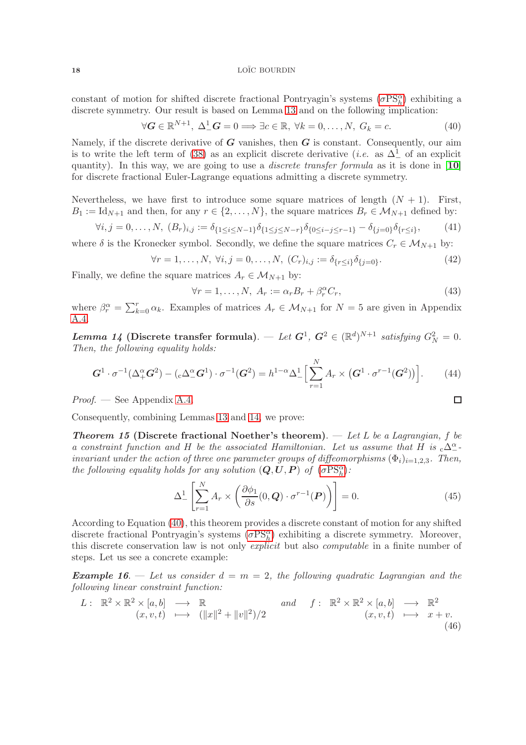constant of motion for shifted discrete fractional Pontryagin's systems  $(\sigma PS<sub>h</sub><sup>\alpha</sup>)$  $(\sigma PS<sub>h</sub><sup>\alpha</sup>)$  $(\sigma PS<sub>h</sub><sup>\alpha</sup>)$  exhibiting a discrete symmetry. Our result is based on Lemma 13 and on the following implication:

<span id="page-17-0"></span>
$$
\forall \mathbf{G} \in \mathbb{R}^{N+1}, \ \Delta_-^1 \mathbf{G} = 0 \Longrightarrow \exists c \in \mathbb{R}, \ \forall k = 0, \dots, N, \ G_k = c. \tag{40}
$$

Namely, if the discrete derivative of  $G$  vanishes, then  $G$  is constant. Consequently, our aim is to write the left term of [\(38\)](#page-16-1) as an explicit discrete derivative (*i.e.* as  $\Delta^1$  of an explicit quantity). In this way, we are going to use a *discrete transfer formula* as it is done in  $[10]$  $[10]$  $[10]$ for discrete fractional Euler-Lagrange equations admitting a discrete symmetry.

Nevertheless, we have first to introduce some square matrices of length  $(N + 1)$ . First,  $B_1 := \text{Id}_{N+1}$  and then, for any  $r \in \{2, ..., N\}$ , the square matrices  $B_r \in \mathcal{M}_{N+1}$  defined by:

$$
\forall i, j = 0, \dots, N, (B_r)_{i,j} := \delta_{\{1 \le i \le N-1\}} \delta_{\{1 \le j \le N-r\}} \delta_{\{0 \le i-j \le r-1\}} - \delta_{\{j=0\}} \delta_{\{r \le i\}},
$$
(41)

where  $\delta$  is the Kronecker symbol. Secondly, we define the square matrices  $C_r \in \mathcal{M}_{N+1}$  by:

$$
\forall r = 1, ..., N, \ \forall i, j = 0, ..., N, \ (C_r)_{i,j} := \delta_{\{r \le i\}} \delta_{\{j=0\}}.
$$
 (42)

Finally, we define the square matrices  $A_r \in \mathcal{M}_{N+1}$  by:

$$
\forall r = 1, \dots, N, \ A_r := \alpha_r B_r + \beta_r^{\alpha} C_r,\tag{43}
$$

where  $\beta_r^{\alpha} = \sum_{k=0}^r \alpha_k$ . Examples of matrices  $A_r \in \mathcal{M}_{N+1}$  for  $N=5$  are given in Appendix [A.4.](#page-23-0)

Lemma 14 (Discrete transfer formula). — Let  $G^1$ ,  $G^2 \in (\mathbb{R}^d)^{N+1}$  satisfying  $G_N^2 = 0$ . Then, the following equality holds:

$$
G^{1} \cdot \sigma^{-1}(\Delta_{+}^{\alpha} G^{2}) - (\mathbf{C} \Delta_{-}^{\alpha} G^{1}) \cdot \sigma^{-1}(G^{2}) = h^{1-\alpha} \Delta_{-}^{1} \Big[ \sum_{r=1}^{N} A_{r} \times (G^{1} \cdot \sigma^{r-1}(G^{2})) \Big]. \tag{44}
$$

*Proof.* — See Appendix [A.4.](#page-23-0)

Consequently, combining Lemmas 13 and 14, we prove:

**Theorem 15 (Discrete fractional Noether's theorem).** — Let L be a Lagrangian, f be a constraint function and H be the associated Hamiltonian. Let us assume that H is  ${}_{c}\Delta_{-}^{\alpha}$ invariant under the action of three one parameter groups of diffeomorphisms  $(\Phi_i)_{i=1,2,3}$ . Then, the following equality holds for any solution  $(\mathbf{Q}, \mathbf{U}, \mathbf{P})$  of  $(\sigma PSR^{\alpha})$  $(\sigma PSR^{\alpha})$  $(\sigma PSR^{\alpha})$ :

$$
\Delta_{-}^{1}\left[\sum_{r=1}^{N} A_{r} \times \left(\frac{\partial \phi_{1}}{\partial s}(0, \mathbf{Q}) \cdot \sigma^{r-1}(\mathbf{P})\right)\right] = 0.
$$
\n(45)

According to Equation [\(40\)](#page-17-0), this theorem provides a discrete constant of motion for any shifted discrete fractional Pontryagin's systems  $(\sigma PS<sub>h</sub><sup>\alpha</sup>)$  $(\sigma PS<sub>h</sub><sup>\alpha</sup>)$  $(\sigma PS<sub>h</sub><sup>\alpha</sup>)$  exhibiting a discrete symmetry. Moreover, this discrete conservation law is not only explicit but also computable in a finite number of steps. Let us see a concrete example:

**Example 16.** — Let us consider  $d = m = 2$ , the following quadratic Lagrangian and the following linear constraint function:

$$
L: \mathbb{R}^2 \times \mathbb{R}^2 \times [a, b] \longrightarrow \mathbb{R}
$$
  
\n $(x, v, t) \longmapsto (||x||^2 + ||v||^2)/2$   
\nand  $f: \mathbb{R}^2 \times \mathbb{R}^2 \times [a, b] \longrightarrow \mathbb{R}^2$   
\n $(x, v, t) \longmapsto x + v.$   
\n(46)

$$
\Box
$$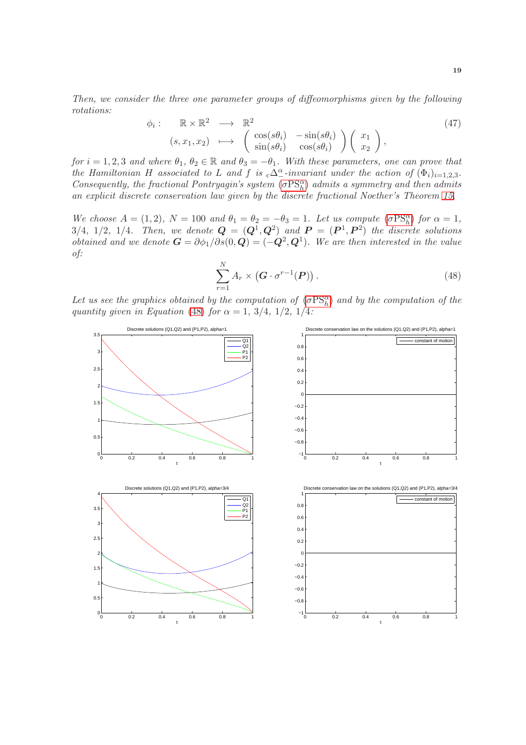Then, we consider the three one parameter groups of diffeomorphisms given by the following rotations:

$$
\phi_i: \mathbb{R} \times \mathbb{R}^2 \longrightarrow \mathbb{R}^2
$$
\n
$$
(s, x_1, x_2) \longmapsto \begin{pmatrix} \cos(s\theta_i) & -\sin(s\theta_i) \\ \sin(s\theta_i) & \cos(s\theta_i) \end{pmatrix} \begin{pmatrix} x_1 \\ x_2 \end{pmatrix},
$$
\n
$$
(47)
$$

for  $i = 1, 2, 3$  and where  $\theta_1, \theta_2 \in \mathbb{R}$  and  $\theta_3 = -\theta_1$ . With these parameters, one can prove that the Hamiltonian H associated to L and f is  ${}_{c}\Delta_{-}^{\alpha}$ -invariant under the action of  $(\Phi_i)_{i=1,2,3}$ . Consequently, the fractional Pontryagin's system  $(\sigma PS<sub>h</sub><sup>\alpha</sup>)$  $(\sigma PS<sub>h</sub><sup>\alpha</sup>)$  $(\sigma PS<sub>h</sub><sup>\alpha</sup>)$  admits a symmetry and then admits an explicit discrete conservation law given by the discrete fractional Noether's Theorem 15.

We choose  $A = (1, 2)$ ,  $N = 100$  and  $\theta_1 = \theta_2 = -\theta_3 = 1$ . Let us compute  $(\sigma PS_{h}^{\alpha})$  $(\sigma PS_{h}^{\alpha})$  $(\sigma PS_{h}^{\alpha})$  for  $\alpha = 1$ , 3/4, 1/2, 1/4. Then, we denote  $\mathbf{Q} = (\mathbf{Q}^1, \mathbf{Q}^2)$  and  $\mathbf{P} = (\mathbf{P}^1, \mathbf{P}^2)$  the discrete solutions *obtained and we denote*  $G = \partial \phi_1 / \partial s(0, Q) = (-Q^2, Q^1)$ . We are then interested in the value of:

<span id="page-18-0"></span>
$$
\sum_{r=1}^{N} A_r \times \left( \mathbf{G} \cdot \sigma^{r-1}(\mathbf{P}) \right). \tag{48}
$$

Let us see the graphics obtained by the computation of  $(\sigma PS_{h}^{\alpha})$  $(\sigma PS_{h}^{\alpha})$  $(\sigma PS_{h}^{\alpha})$  and by the computation of the quantity given in Equation [\(48\)](#page-18-0) for  $\alpha = 1, 3/4, 1/2, 1/4$ :

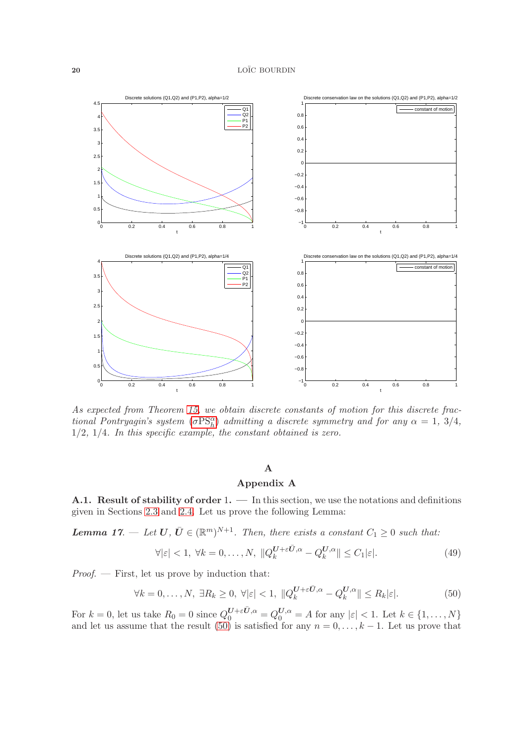

As expected from Theorem 15, we obtain discrete constants of motion for this discrete fractional Pontryagin's system  $(\sigma PS<sub>h</sub><sup>\alpha</sup>)$  $(\sigma PS<sub>h</sub><sup>\alpha</sup>)$  $(\sigma PS<sub>h</sub><sup>\alpha</sup>)$  admitting a discrete symmetry and for any  $\alpha = 1, 3/4$ ,  $1/2$ ,  $1/4$ . In this specific example, the constant obtained is zero.

### A

## Appendix A

<span id="page-19-0"></span>A.1. Result of stability of order  $1. - \text{In this section, we use the notations and definitions}$ given in Sections [2.3](#page-8-0) and [2.4.](#page-8-1) Let us prove the following Lemma:

**Lemma 17.**  $\quad$  Let  $\mathbf{U}, \bar{\mathbf{U}} \in (\mathbb{R}^m)^{N+1}$ . Then, there exists a constant  $C_1 \geq 0$  such that:

$$
\forall |\varepsilon| < 1, \ \forall k = 0, \dots, N, \ \|Q_k^{U + \varepsilon \bar{U}, \alpha} - Q_k^{U, \alpha}\| \le C_1 |\varepsilon|.
$$
\n
$$
(49)
$$

Proof. — First, let us prove by induction that:

<span id="page-19-1"></span>
$$
\forall k = 0, \dots, N, \ \exists R_k \ge 0, \ \forall |\varepsilon| < 1, \ \|\boldsymbol{Q}_k^{\boldsymbol{U} + \varepsilon \bar{\boldsymbol{U}}, \alpha} - \boldsymbol{Q}_k^{\boldsymbol{U}, \alpha}\| \le R_k |\varepsilon|.
$$
\n(50)

For  $k = 0$ , let us take  $R_0 = 0$  since  $Q_0^{U+\varepsilon \bar{U},\alpha} = Q_0^{U,\alpha} = A$  for any  $|\varepsilon| < 1$ . Let  $k \in \{1, \ldots, N\}$ and let us assume that the result [\(50\)](#page-19-1) is satisfied for any  $n = 0, \ldots, k - 1$ . Let us prove that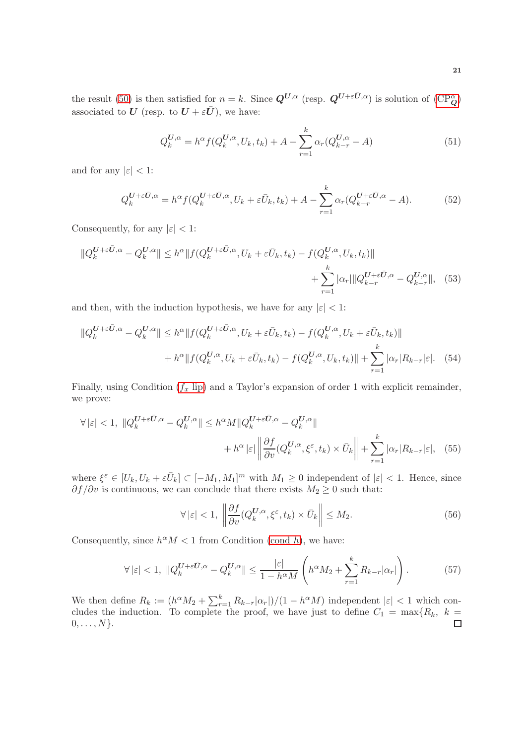the result [\(50\)](#page-19-1) is then satisfied for  $n = k$ . Since  $Q^{U,\alpha}$  (resp.  $Q^{U+\varepsilon \bar{U},\alpha}$ ) is solution of  $(\text{CP}_Q^{\alpha})$ associated to U (resp. to  $U + \varepsilon \overline{U}$ ), we have:

$$
Q_k^{U,\alpha} = h^{\alpha} f(Q_k^{U,\alpha}, U_k, t_k) + A - \sum_{r=1}^k \alpha_r (Q_{k-r}^{U,\alpha} - A)
$$
\n(51)

and for any  $|\varepsilon|$  < 1:

$$
Q_k^{\mathbf{U}+\varepsilon\bar{\mathbf{U}},\alpha} = h^{\alpha} f(Q_k^{\mathbf{U}+\varepsilon\bar{\mathbf{U}},\alpha}, U_k + \varepsilon\bar{U}_k, t_k) + A - \sum_{r=1}^k \alpha_r(Q_{k-r}^{\mathbf{U}+\varepsilon\bar{\mathbf{U}},\alpha} - A). \tag{52}
$$

Consequently, for any  $|\varepsilon|$  < 1:

$$
||Q_k^{U+\varepsilon\bar{U},\alpha} - Q_k^{U,\alpha}|| \le h^{\alpha} ||f(Q_k^{U+\varepsilon\bar{U},\alpha}, U_k + \varepsilon\bar{U}_k, t_k) - f(Q_k^{U,\alpha}, U_k, t_k)|| + \sum_{r=1}^k |\alpha_r|||Q_{k-r}^{U+\varepsilon\bar{U},\alpha} - Q_{k-r}^{U,\alpha}||, \tag{53}
$$

and then, with the induction hypothesis, we have for any  $|\varepsilon| < 1$ :

$$
||Q_k^{U+\varepsilon\bar{U},\alpha} - Q_k^{U,\alpha}|| \le h^{\alpha} ||f(Q_k^{U+\varepsilon\bar{U},\alpha}, U_k + \varepsilon\bar{U}_k, t_k) - f(Q_k^{U,\alpha}, U_k + \varepsilon\bar{U}_k, t_k) ||
$$
  
+  $h^{\alpha} ||f(Q_k^{U,\alpha}, U_k + \varepsilon\bar{U}_k, t_k) - f(Q_k^{U,\alpha}, U_k, t_k) || + \sum_{r=1}^k |\alpha_r| R_{k-r} |\varepsilon|.$  (54)

Finally, using Condition  $(f_x \text{ lip})$  and a Taylor's expansion of order 1 with explicit remainder, we prove:

$$
\forall |\varepsilon| < 1, \ \|Q_k^{U + \varepsilon \bar{U}, \alpha} - Q_k^{U, \alpha}\| \le h^{\alpha} M \|Q_k^{U + \varepsilon \bar{U}, \alpha} - Q_k^{U, \alpha}\| + h^{\alpha} |\varepsilon| \left\|\frac{\partial f}{\partial v}(Q_k^{U, \alpha}, \xi^{\varepsilon}, t_k) \times \bar{U}_k\right\| + \sum_{r=1}^k |\alpha_r| R_{k-r} |\varepsilon|, \tag{55}
$$

where  $\xi^{\varepsilon} \in [U_k, U_k + \varepsilon \bar{U}_k] \subset [-M_1, M_1]^m$  with  $M_1 \geq 0$  independent of  $|\varepsilon| < 1$ . Hence, since  $\partial f / \partial v$  is continuous, we can conclude that there exists  $M_2 \geq 0$  such that:

$$
\forall |\varepsilon| < 1, \ \left\| \frac{\partial f}{\partial v}(Q_k^{U,\alpha}, \xi^{\varepsilon}, t_k) \times \bar{U}_k \right\| \le M_2. \tag{56}
$$

Consequently, since  $h^{\alpha}M < 1$  from Condition [\(cond](#page-6-0) h), we have:

$$
\forall |\varepsilon| < 1, \ \|Q_k^{U+\varepsilon \bar{U},\alpha} - Q_k^{U,\alpha}\| \le \frac{|\varepsilon|}{1 - h^{\alpha}M} \left( h^{\alpha} M_2 + \sum_{r=1}^k R_{k-r} |\alpha_r| \right). \tag{57}
$$

We then define  $R_k := (h^{\alpha} M_2 + \sum_{r=1}^k R_{k-r} |\alpha_r|)/(1 - h^{\alpha} M)$  independent  $|\varepsilon| < 1$  which concludes the induction. To complete the proof, we have just to define  $C_1 = \max\{R_k, k =$  $0, \ldots, N$ .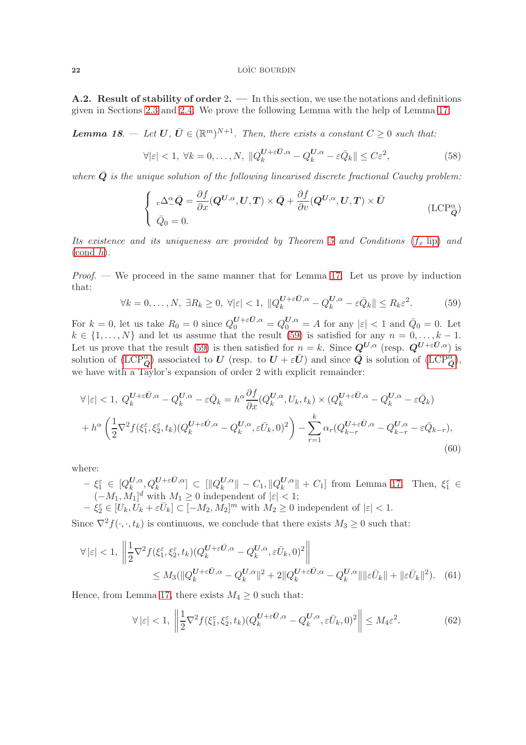A.2. Result of stability of order 2. — In this section, we use the notations and definitions given in Sections [2.3](#page-8-0) and [2.4.](#page-8-1) We prove the following Lemma with the help of Lemma 17:

**Lemma 18.**  $\blacksquare$  Let  $\boldsymbol{U}, \boldsymbol{U} \in (\mathbb{R}^m)^{N+1}$ . Then, there exists a constant  $C \geq 0$  such that:

$$
\forall |\varepsilon| < 1, \ \forall k = 0, \dots, N, \ \|Q_k^{U + \varepsilon \bar{U}, \alpha} - Q_k^{U, \alpha} - \varepsilon \bar{Q}_k\| \le C\varepsilon^2,\tag{58}
$$

where  $Q$  is the unique solution of the following linearised discrete fractional Cauchy problem:

$$
\begin{cases}\n\mathbf{C} \Delta^{\alpha}_{-} \bar{\mathbf{Q}} = \frac{\partial f}{\partial x} (\mathbf{Q}^{U,\alpha}, \mathbf{U}, \mathbf{T}) \times \bar{\mathbf{Q}} + \frac{\partial f}{\partial v} (\mathbf{Q}^{U,\alpha}, \mathbf{U}, \mathbf{T}) \times \bar{\mathbf{U}} \\
\bar{Q}_{0} = 0.\n\end{cases} \tag{LCP}_{\bar{\mathbf{Q}}}^{\alpha}
$$

Its existence and its uniqueness are provided by Theorem 5 and Conditions  $(f_x$  [lip\)](#page-3-0) and  $(\text{cond } h).$ 

*Proof.* — We proceed in the same manner that for Lemma 17. Let us prove by induction that:

<span id="page-21-0"></span>
$$
\forall k = 0, \dots, N, \ \exists R_k \ge 0, \ \forall |\varepsilon| < 1, \ \|\overline{Q}_k^{U + \varepsilon \bar{U}, \alpha} - \overline{Q}_k^{U, \alpha} - \varepsilon \bar{Q}_k\| \le R_k \varepsilon^2. \tag{59}
$$

For  $k = 0$ , let us take  $R_0 = 0$  since  $Q_0^{U+\varepsilon \bar{U},\alpha} = Q_0^{U,\alpha} = A$  for any  $|\varepsilon| < 1$  and  $\bar{Q}_0 = 0$ . Let  $k \in \{1, \ldots, N\}$  and let us assume that the result [\(59\)](#page-21-0) is satisfied for any  $n = 0, \ldots, k - 1$ . Let us prove that the result [\(59\)](#page-21-0) is then satisfied for  $n = k$ . Since  $Q^{U,\alpha}$  (resp.  $Q^{U+\varepsilon \bar{U},\alpha}$ ) is solution of  $(\text{LCP}^{\alpha}_{\bar{Q}})$  associated to U (resp. to  $U + \varepsilon \bar{U}$ ) and since  $\bar{Q}$  is solution of  $(\text{LCP}^{\alpha}_{\bar{Q}})$ , we have with a Taylor's expansion of order 2 with explicit remainder:

$$
\forall |\varepsilon| < 1, \ Q_k^{U + \varepsilon \bar{U}, \alpha} - Q_k^{U, \alpha} - \varepsilon \bar{Q}_k = h^{\alpha} \frac{\partial f}{\partial x} (Q_k^{U, \alpha}, U_k, t_k) \times (Q_k^{U + \varepsilon \bar{U}, \alpha} - Q_k^{U, \alpha} - \varepsilon \bar{Q}_k)
$$

$$
+ h^{\alpha} \left( \frac{1}{2} \nabla^2 f(\xi_1^{\varepsilon}, \xi_2^{\varepsilon}, t_k) (Q_k^{U + \varepsilon \bar{U}, \alpha} - Q_k^{U, \alpha}, \varepsilon \bar{U}_k, 0)^2 \right) - \sum_{r=1}^k \alpha_r (Q_{k-r}^{U + \varepsilon \bar{U}, \alpha} - Q_{k-r}^{U, \alpha} - \varepsilon \bar{Q}_{k-r}), \tag{60}
$$

where:

 $\xi_1^{\varepsilon}$   $\in$   $[Q_{k}^{\bm{U},\alpha}]$  $\left[ \begin{smallmatrix} U,\alpha \ k \end{smallmatrix} , Q_k^{\bm{U}+\varepsilon \bar{\bm{U}},\alpha} \right] \ \subset \ [ \Vert Q_k^{\bm{U},\alpha} \]$  $\frac{U, \alpha}{k}$   $\parallel$   $C_1$ ,  $\parallel Q_k^{\bm{U}, \alpha}$  $\| \mathcal{L}_{k}^{U,\alpha} \|$  +  $C_1$ ] from Lemma 17. Then,  $\xi_1^{\varepsilon} \in$  $(-M_1, M_1]^d$  with  $M_1 \geq 0$  independent of  $|\varepsilon| < 1$ ;  $-\xi_2^{\varepsilon} \in [U_k, U_k + \varepsilon U_k] \subset [-M_2, M_2]^m$  with  $M_2 \ge 0$  independent of  $|\varepsilon| < 1$ .

Since  $\nabla^2 f(\cdot, \cdot, t_k)$  is continuous, we conclude that there exists  $M_3 \geq 0$  such that:

$$
\forall |\varepsilon| < 1, \ \left\| \frac{1}{2} \nabla^2 f(\xi_1^{\varepsilon}, \xi_2^{\varepsilon}, t_k) (Q_k^{U + \varepsilon \bar{U}, \alpha} - Q_k^{U, \alpha}, \varepsilon \bar{U}_k, 0)^2 \right\|
$$
  

$$
\leq M_3(\|Q_k^{U + \varepsilon \bar{U}, \alpha} - Q_k^{U, \alpha}\|^2 + 2\|Q_k^{U + \varepsilon \bar{U}, \alpha} - Q_k^{U, \alpha}\| \|\varepsilon \bar{U}_k\| + \|\varepsilon \bar{U}_k\|^2). \tag{61}
$$

Hence, from Lemma 17, there exists  $M_4 \geq 0$  such that:

<span id="page-21-2"></span><span id="page-21-1"></span>
$$
\forall |\varepsilon| < 1, \ \left\| \frac{1}{2} \nabla^2 f(\xi_1^{\varepsilon}, \xi_2^{\varepsilon}, t_k) (Q_k^{U + \varepsilon \bar{U}, \alpha} - Q_k^{U, \alpha}, \varepsilon \bar{U}_k, 0)^2 \right\| \le M_4 \varepsilon^2. \tag{62}
$$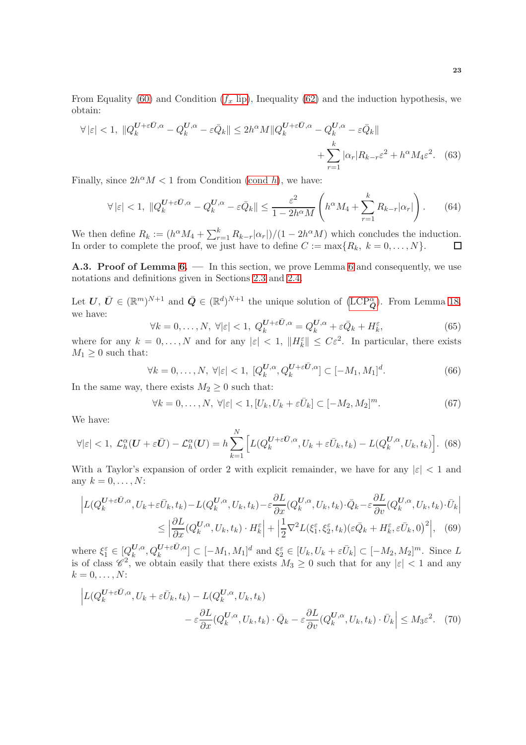From Equality [\(60\)](#page-21-1) and Condition  $(f_x \text{ lip})$ , Inequality [\(62\)](#page-21-2) and the induction hypothesis, we obtain:

$$
\forall |\varepsilon| < 1, \ \|Q_k^{U + \varepsilon \bar{U}, \alpha} - Q_k^{U, \alpha} - \varepsilon \bar{Q}_k\| \le 2h^{\alpha} M \|Q_k^{U + \varepsilon \bar{U}, \alpha} - Q_k^{U, \alpha} - \varepsilon \bar{Q}_k\| + \sum_{r=1}^k |\alpha_r| R_{k-r} \varepsilon^2 + h^{\alpha} M_4 \varepsilon^2. \tag{63}
$$

Finally, since  $2h^{\alpha}M < 1$  from Condition [\(cond](#page-6-0) h), we have:

$$
\forall |\varepsilon| < 1, \ \|Q_k^{U+\varepsilon \bar{U},\alpha} - Q_k^{U,\alpha} - \varepsilon \bar{Q}_k\| \le \frac{\varepsilon^2}{1 - 2h^{\alpha}M} \left( h^{\alpha} M_4 + \sum_{r=1}^k R_{k-r} |\alpha_r| \right). \tag{64}
$$

We then define  $R_k := (h^{\alpha} M_4 + \sum_{r=1}^k R_{k-r} |\alpha_r|)/(1 - 2h^{\alpha} M)$  which concludes the induction. In order to complete the proof, we just have to define  $C := \max\{R_k, k = 0, \ldots, N\}.$ 

<span id="page-22-0"></span>A.3. Proof of Lemma 6. — In this section, we prove Lemma 6 and consequently, we use notations and definitions given in Sections [2.3](#page-8-0) and [2.4.](#page-8-1)

Let  $U, \bar{U} \in (\mathbb{R}^m)^{N+1}$  and  $\bar{Q} \in (\mathbb{R}^d)^{N+1}$  the unique solution of  $(\mathrm{LCP}_{\bar{Q}}^{\alpha})$ . From Lemma 18, we have:

$$
\forall k = 0, \dots, N, \ \forall |\varepsilon| < 1, \ Q_k^{U + \varepsilon \bar{U}, \alpha} = Q_k^{U, \alpha} + \varepsilon \bar{Q}_k + H_k^{\varepsilon},\tag{65}
$$

where for any  $k = 0, ..., N$  and for any  $|\varepsilon| < 1$ ,  $||H_k^{\varepsilon}|| \leq C\varepsilon^2$ . In particular, there exists  $M_1 \geq 0$  such that:

$$
\forall k = 0, \dots, N, \ \forall |\varepsilon| < 1, \ [Q_k^{U,\alpha}, Q_k^{U+\varepsilon \bar{U}, \alpha}] \subset [-M_1, M_1]^d. \tag{66}
$$

In the same way, there exists  $M_2 \geq 0$  such that:

$$
\forall k = 0, \dots, N, \ \forall |\varepsilon| < 1, \left[ U_k, U_k + \varepsilon \bar{U}_k \right] \subset [-M_2, M_2]^m. \tag{67}
$$

We have:

$$
\forall |\varepsilon| < 1, \ \mathcal{L}_h^{\alpha}(U + \varepsilon \bar{U}) - \mathcal{L}_h^{\alpha}(U) = h \sum_{k=1}^N \left[ L(Q_k^{U + \varepsilon \bar{U}, \alpha}, U_k + \varepsilon \bar{U}_k, t_k) - L(Q_k^{U, \alpha}, U_k, t_k) \right]. \tag{68}
$$

With a Taylor's expansion of order 2 with explicit remainder, we have for any  $|\varepsilon|$  < 1 and any  $k = 0, \ldots, N$ :

$$
\left| L(Q_k^{U+\varepsilon\bar{U},\alpha}, U_k + \varepsilon \bar{U}_k, t_k) - L(Q_k^{U,\alpha}, U_k, t_k) - \varepsilon \frac{\partial L}{\partial x}(Q_k^{U,\alpha}, U_k, t_k) \cdot \bar{Q}_k - \varepsilon \frac{\partial L}{\partial v}(Q_k^{U,\alpha}, U_k, t_k) \cdot \bar{U}_k \right|
$$
  

$$
\leq \left| \frac{\partial L}{\partial x}(Q_k^{U,\alpha}, U_k, t_k) \cdot H_k^{\varepsilon} \right| + \left| \frac{1}{2} \nabla^2 L(\xi_1^{\varepsilon}, \xi_2^{\varepsilon}, t_k) (\varepsilon \bar{Q}_k + H_k^{\varepsilon}, \varepsilon \bar{U}_k, 0)^2 \right|, \tag{69}
$$

where  $\xi_1^{\varepsilon} \in [Q_k^{\mathbf{U},\alpha}]$  $\mathcal{L}_{k}^{U,\alpha}, Q_{k}^{U+\varepsilon \bar{U},\alpha}] \subset [-M_1, M_1]^d$  and  $\xi_2^{\varepsilon} \in [U_k, U_k + \varepsilon \bar{U}_k] \subset [-M_2, M_2]^m$ . Since L is of class  $\mathscr{C}^2$ , we obtain easily that there exists  $M_3 \geq 0$  such that for any  $|\varepsilon| < 1$  and any  $k = 0, \ldots, N$ :

$$
\left| L(Q_k^{U+\varepsilon\bar{U},\alpha}, U_k + \varepsilon\bar{U}_k, t_k) - L(Q_k^{U,\alpha}, U_k, t_k) - \varepsilon \frac{\partial L}{\partial x}(Q_k^{U,\alpha}, U_k, t_k) \cdot \bar{Q}_k - \varepsilon \frac{\partial L}{\partial v}(Q_k^{U,\alpha}, U_k, t_k) \cdot \bar{U}_k \right| \le M_3 \varepsilon^2. \tag{70}
$$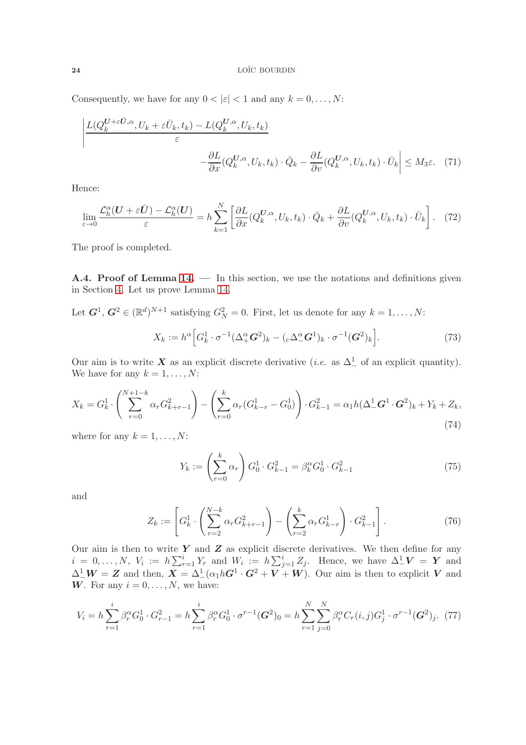Consequently, we have for any  $0 < |\varepsilon| < 1$  and any  $k = 0, \ldots, N$ :

$$
\left| \frac{L(Q_k^{U+\varepsilon \bar{U},\alpha}, U_k + \varepsilon \bar{U}_k, t_k) - L(Q_k^{U,\alpha}, U_k, t_k)}{\varepsilon} - \frac{\partial L}{\partial x}(Q_k^{U,\alpha}, U_k, t_k) \cdot \bar{Q}_k - \frac{\partial L}{\partial v}(Q_k^{U,\alpha}, U_k, t_k) \cdot \bar{U}_k \right| \le M_3 \varepsilon. \tag{71}
$$

Hence:

$$
\lim_{\varepsilon \to 0} \frac{\mathcal{L}_h^{\alpha}(U + \varepsilon \bar{U}) - \mathcal{L}_h^{\alpha}(U)}{\varepsilon} = h \sum_{k=1}^N \left[ \frac{\partial L}{\partial x} (Q_k^{U, \alpha}, U_k, t_k) \cdot \bar{Q}_k + \frac{\partial L}{\partial v} (Q_k^{U, \alpha}, U_k, t_k) \cdot \bar{U}_k \right]. \tag{72}
$$

The proof is completed.

<span id="page-23-0"></span>A.4. Proof of Lemma 14. — In this section, we use the notations and definitions given in Section [4.](#page-15-0) Let us prove Lemma 14.

Let  $\mathbf{G}^1$ ,  $\mathbf{G}^2 \in (\mathbb{R}^d)^{N+1}$  satisfying  $G_N^2 = 0$ . First, let us denote for any  $k = 1, \ldots, N$ :

$$
X_k := h^{\alpha} \Big[ G_k^1 \cdot \sigma^{-1} (\Delta_+^{\alpha} \mathbf{G}^2)_k - (\mathbf{C} \Delta_-^{\alpha} \mathbf{G}^1)_k \cdot \sigma^{-1} (\mathbf{G}^2)_k \Big]. \tag{73}
$$

Our aim is to write X as an explicit discrete derivative (*i.e.* as  $\Delta^1$  of an explicit quantity). We have for any  $k = 1, \ldots, N$ :

$$
X_k = G_k^1 \cdot \left( \sum_{r=0}^{N+1-k} \alpha_r G_{k+r-1}^2 \right) - \left( \sum_{r=0}^k \alpha_r (G_{k-r}^1 - G_0^1) \right) \cdot G_{k-1}^2 = \alpha_1 h (\Delta_-^1 \mathbf{G}^1 \cdot \mathbf{G}^2)_k + Y_k + Z_k,
$$
\n(74)

where for any  $k = 1, \ldots, N$ :

$$
Y_k := \left(\sum_{r=0}^k \alpha_r\right) G_0^1 \cdot G_{k-1}^2 = \beta_k^{\alpha} G_0^1 \cdot G_{k-1}^2 \tag{75}
$$

and

$$
Z_k := \left[ G_k^1 \cdot \left( \sum_{r=2}^{N-k} \alpha_r G_{k+r-1}^2 \right) - \left( \sum_{r=2}^k \alpha_r G_{k-r}^1 \right) \cdot G_{k-1}^2 \right]. \tag{76}
$$

Our aim is then to write  $Y$  and  $Z$  as explicit discrete derivatives. We then define for any  $i = 0, \ldots, N, V_i := h \sum_{r=1}^i Y_r$  and  $W_i := h \sum_{j=1}^i Z_j$ . Hence, we have  $\Delta^1 \mathbf{V} = \mathbf{Y}$  and  $\Delta^1 \ W = Z$  and then,  $X = \Delta^1 \left( \alpha_1 h G^1 \cdot G^2 + V + W \right)$ . Our aim is then to explicit V and W. For any  $i = 0, \ldots, N$ , we have:

$$
V_i = h \sum_{r=1}^{i} \beta_r^{\alpha} G_0^1 \cdot G_{r-1}^2 = h \sum_{r=1}^{i} \beta_r^{\alpha} G_0^1 \cdot \sigma^{r-1} (\mathbf{G}^2)_0 = h \sum_{r=1}^{N} \sum_{j=0}^{N} \beta_r^{\alpha} C_r(i,j) G_j^1 \cdot \sigma^{r-1} (\mathbf{G}^2)_j. \tag{77}
$$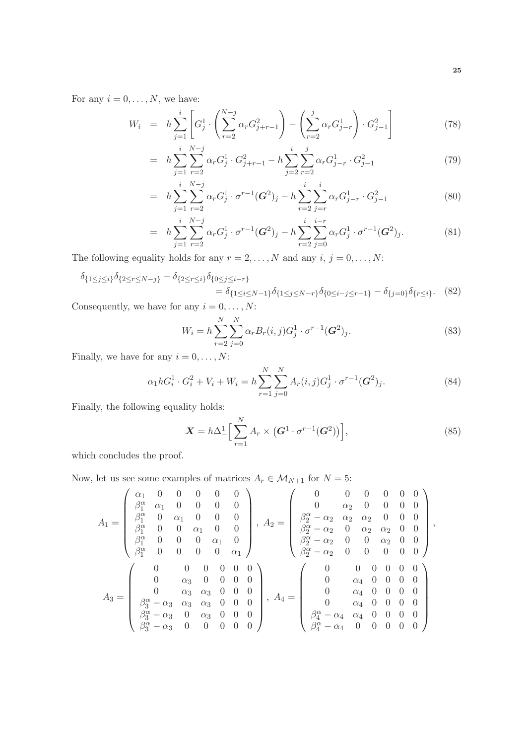For any  $i = 0, \ldots, N$ , we have:

$$
W_i = h \sum_{j=1}^{i} \left[ G_j^1 \cdot \left( \sum_{r=2}^{N-j} \alpha_r G_{j+r-1}^2 \right) - \left( \sum_{r=2}^{j} \alpha_r G_{j-r}^1 \right) \cdot G_{j-1}^2 \right]
$$
(78)

$$
= h \sum_{j=1}^{i} \sum_{r=2}^{N-j} \alpha_r G_j^1 \cdot G_{j+r-1}^2 - h \sum_{j=2}^{i} \sum_{r=2}^{j} \alpha_r G_{j-r}^1 \cdot G_{j-1}^2 \tag{79}
$$

$$
= h \sum_{j=1}^{i} \sum_{r=2}^{N-j} \alpha_r G_j^1 \cdot \sigma^{r-1}(\boldsymbol{G}^2)_j - h \sum_{r=2}^{i} \sum_{j=r}^{i} \alpha_r G_{j-r}^1 \cdot G_{j-1}^2 \qquad (80)
$$

$$
= h \sum_{j=1}^{i} \sum_{r=2}^{N-j} \alpha_r G_j^1 \cdot \sigma^{r-1}(\boldsymbol{G}^2)_j - h \sum_{r=2}^{i} \sum_{j=0}^{i-r} \alpha_r G_j^1 \cdot \sigma^{r-1}(\boldsymbol{G}^2)_j.
$$
 (81)

The following equality holds for any  $r = 2, ..., N$  and any  $i, j = 0, ..., N$ :

$$
\delta_{\{1 \le j \le i\}} \delta_{\{2 \le r \le N-j\}} - \delta_{\{2 \le r \le i\}} \delta_{\{0 \le j \le i-r\}} \n= \delta_{\{1 \le i \le N-1\}} \delta_{\{1 \le j \le N-r\}} \delta_{\{0 \le i-j \le r-1\}} - \delta_{\{j=0\}} \delta_{\{r \le i\}}.
$$
\n(82)

Consequently, we have for any  $i = 0, \ldots, N$ :

$$
W_i = h \sum_{r=2}^{N} \sum_{j=0}^{N} \alpha_r B_r(i,j) G_j^1 \cdot \sigma^{r-1}(\boldsymbol{G}^2)_j.
$$
 (83)

Finally, we have for any  $i=0,\ldots,N$ :

$$
\alpha_1 h G_i^1 \cdot G_i^2 + V_i + W_i = h \sum_{r=1}^N \sum_{j=0}^N A_r(i,j) G_j^1 \cdot \sigma^{r-1}(\mathbf{G}^2)_j.
$$
\n(84)

Finally, the following equality holds:

$$
\mathbf{X} = h\Delta_-^1 \Big[ \sum_{r=1}^N A_r \times \left( \mathbf{G}^1 \cdot \sigma^{r-1} (\mathbf{G}^2) \right) \Big], \tag{85}
$$

which concludes the proof.

Now, let us see some examples of matrices  $A_r \in \mathcal{M}_{N+1}$  for  $N=5:$ 

$$
A_1 = \begin{pmatrix} \alpha_1 & 0 & 0 & 0 & 0 & 0 \\ \beta_1^{\alpha} & \alpha_1 & 0 & 0 & 0 & 0 \\ \beta_1^{\alpha} & 0 & \alpha_1 & 0 & 0 & 0 \\ \beta_1^{\alpha} & 0 & 0 & \alpha_1 & 0 & 0 \\ \beta_1^{\alpha} & 0 & 0 & 0 & \alpha_1 & 0 \\ \beta_1^{\alpha} & 0 & 0 & 0 & \alpha_1 & 0 \\ \beta_1^{\alpha} & 0 & 0 & 0 & 0 & \alpha_1 \end{pmatrix}, A_2 = \begin{pmatrix} 0 & 0 & 0 & 0 & 0 & 0 \\ 0 & \alpha_2 & 0 & 0 & 0 & 0 \\ \beta_2^{\alpha} - \alpha_2 & \alpha_2 & \alpha_2 & 0 & 0 & 0 \\ \beta_2^{\alpha} - \alpha_2 & 0 & \alpha_2 & \alpha_2 & 0 & 0 \\ \beta_2^{\alpha} - \alpha_2 & 0 & 0 & \alpha_2 & 0 & 0 \\ \beta_2^{\alpha} - \alpha_2 & 0 & 0 & 0 & 0 & 0 \\ \beta_2^{\alpha} - \alpha_2 & 0 & 0 & 0 & 0 & 0 \end{pmatrix}, A_4 = \begin{pmatrix} 0 & 0 & 0 & 0 & 0 & 0 \\ \beta_2^{\alpha} - \alpha_2 & \alpha_2 & \alpha_2 & 0 & 0 \\ \beta_2^{\alpha} - \alpha_2 & 0 & 0 & 0 & 0 & 0 \\ 0 & \alpha_4 & 0 & 0 & 0 & 0 \\ \alpha_4 & 0 & 0 & 0 & 0 & 0 \\ \beta_4^{\alpha} - \alpha_4 & \alpha_4 & 0 & 0 & 0 & 0 \\ \beta_4^{\alpha} - \alpha_4 & \alpha_4 & 0 & 0 & 0 & 0 \end{pmatrix}
$$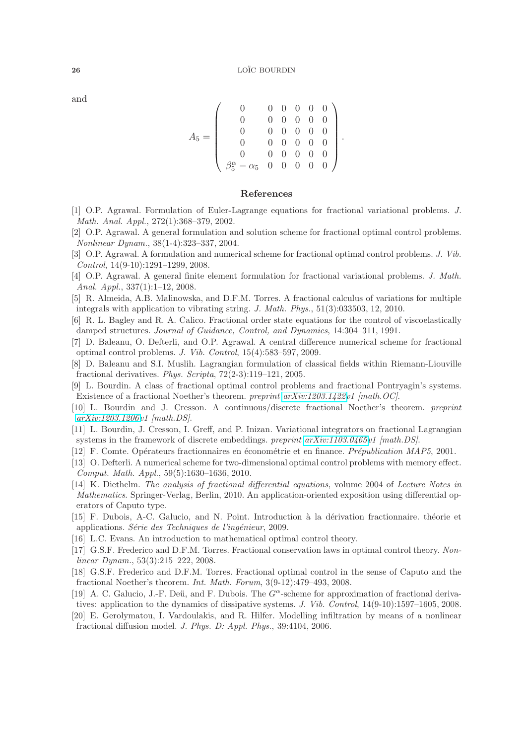and

|  |                                                       |                |                | $0 \t0 \t0 \t0 \t0$                      |                |                |  |
|--|-------------------------------------------------------|----------------|----------------|------------------------------------------|----------------|----------------|--|
|  |                                                       | $\overline{0}$ | $0 \quad 0$    |                                          | $\overline{0}$ | $\theta$       |  |
|  |                                                       | $\overline{0}$ | $0 \quad 0$    |                                          | $\overline{0}$ |                |  |
|  |                                                       |                |                | $\begin{matrix}0&0&0\\0&0&0\end{matrix}$ | $\overline{0}$ | $\overline{0}$ |  |
|  |                                                       | $\overline{0}$ | $\overline{0}$ | $\theta$                                 | $\overline{0}$ |                |  |
|  | $\beta_5^{\alpha} - \alpha_5 \quad 0 \quad 0 \quad 0$ |                |                |                                          | $0 \quad 0$    |                |  |

### References

- <span id="page-25-9"></span>[1] O.P. Agrawal. Formulation of Euler-Lagrange equations for fractional variational problems. J. Math. Anal. Appl., 272(1):368–379, 2002.
- <span id="page-25-0"></span>[2] O.P. Agrawal. A general formulation and solution scheme for fractional optimal control problems. Nonlinear Dynam., 38(1-4):323–337, 2004.
- <span id="page-25-1"></span>[3] O.P. Agrawal. A formulation and numerical scheme for fractional optimal control problems. J. Vib. Control, 14(9-10):1291–1299, 2008.
- <span id="page-25-14"></span>[4] O.P. Agrawal. A general finite element formulation for fractional variational problems. J. Math. Anal. Appl., 337(1):1–12, 2008.
- <span id="page-25-6"></span>[5] R. Almeida, A.B. Malinowska, and D.F.M. Torres. A fractional calculus of variations for multiple integrals with application to vibrating string. J. Math. Phys., 51(3):033503, 12, 2010.
- <span id="page-25-7"></span>[6] R. L. Bagley and R. A. Calico. Fractional order state equations for the control of viscoelastically damped structures. Journal of Guidance, Control, and Dynamics, 14:304–311, 1991.
- <span id="page-25-16"></span>[7] D. Baleanu, O. Defterli, and O.P. Agrawal. A central difference numerical scheme for fractional optimal control problems. J. Vib. Control, 15(4):583–597, 2009.
- <span id="page-25-10"></span>[8] D. Baleanu and S.I. Muslih. Lagrangian formulation of classical fields within Riemann-Liouville fractional derivatives. Phys. Scripta, 72(2-3):119–121, 2005.
- <span id="page-25-2"></span>[9] L. Bourdin. A class of fractional optimal control problems and fractional Pontryagin's systems. Existence of a fractional Noether's theorem. preprint [arXiv:1203.1422v](http://arxiv.org/abs/1203.1422)1 [math.OC].
- <span id="page-25-19"></span>[10] L. Bourdin and J. Cresson. A continuous/discrete fractional Noether's theorem. preprint [arXiv:1203.1206v](http://arxiv.org/abs/1203.1206)1 [math.DS].
- <span id="page-25-15"></span>[11] L. Bourdin, J. Cresson, I. Greff, and P. Inizan. Variational integrators on fractional Lagrangian systems in the framework of discrete embeddings. preprint [arXiv:1103.0465v](http://arxiv.org/abs/1103.0465)1 [math.DS].
- <span id="page-25-17"></span><span id="page-25-5"></span>[12] F. Comte. Opérateurs fractionnaires en économétrie et en finance. *Prépublication MAP5*, 2001.
- [13] O. Defterli. A numerical scheme for two-dimensional optimal control problems with memory effect. Comput. Math. Appl., 59(5):1630–1636, 2010.
- <span id="page-25-13"></span>[14] K. Diethelm. The analysis of fractional differential equations, volume 2004 of Lecture Notes in Mathematics. Springer-Verlag, Berlin, 2010. An application-oriented exposition using differential operators of Caputo type.
- <span id="page-25-11"></span>[15] F. Dubois, A-C. Galucio, and N. Point. Introduction à la dérivation fractionnaire. théorie et applications. Série des Techniques de l'ingénieur, 2009.
- <span id="page-25-18"></span><span id="page-25-3"></span>[16] L.C. Evans. An introduction to mathematical optimal control theory.
- [17] G.S.F. Frederico and D.F.M. Torres. Fractional conservation laws in optimal control theory. Nonlinear Dynam., 53(3):215–222, 2008.
- <span id="page-25-4"></span>[18] G.S.F. Frederico and D.F.M. Torres. Fractional optimal control in the sense of Caputo and the fractional Noether's theorem. Int. Math. Forum, 3(9-12):479–493, 2008.
- <span id="page-25-12"></span>[19] A. C. Galucio, J.-F. Deü, and F. Dubois. The  $G^{\alpha}$ -scheme for approximation of fractional derivatives: application to the dynamics of dissipative systems. J. Vib. Control, 14(9-10):1597–1605, 2008.
- <span id="page-25-8"></span>[20] E. Gerolymatou, I. Vardoulakis, and R. Hilfer. Modelling infiltration by means of a nonlinear fractional diffusion model. J. Phys. D: Appl. Phys., 39:4104, 2006.